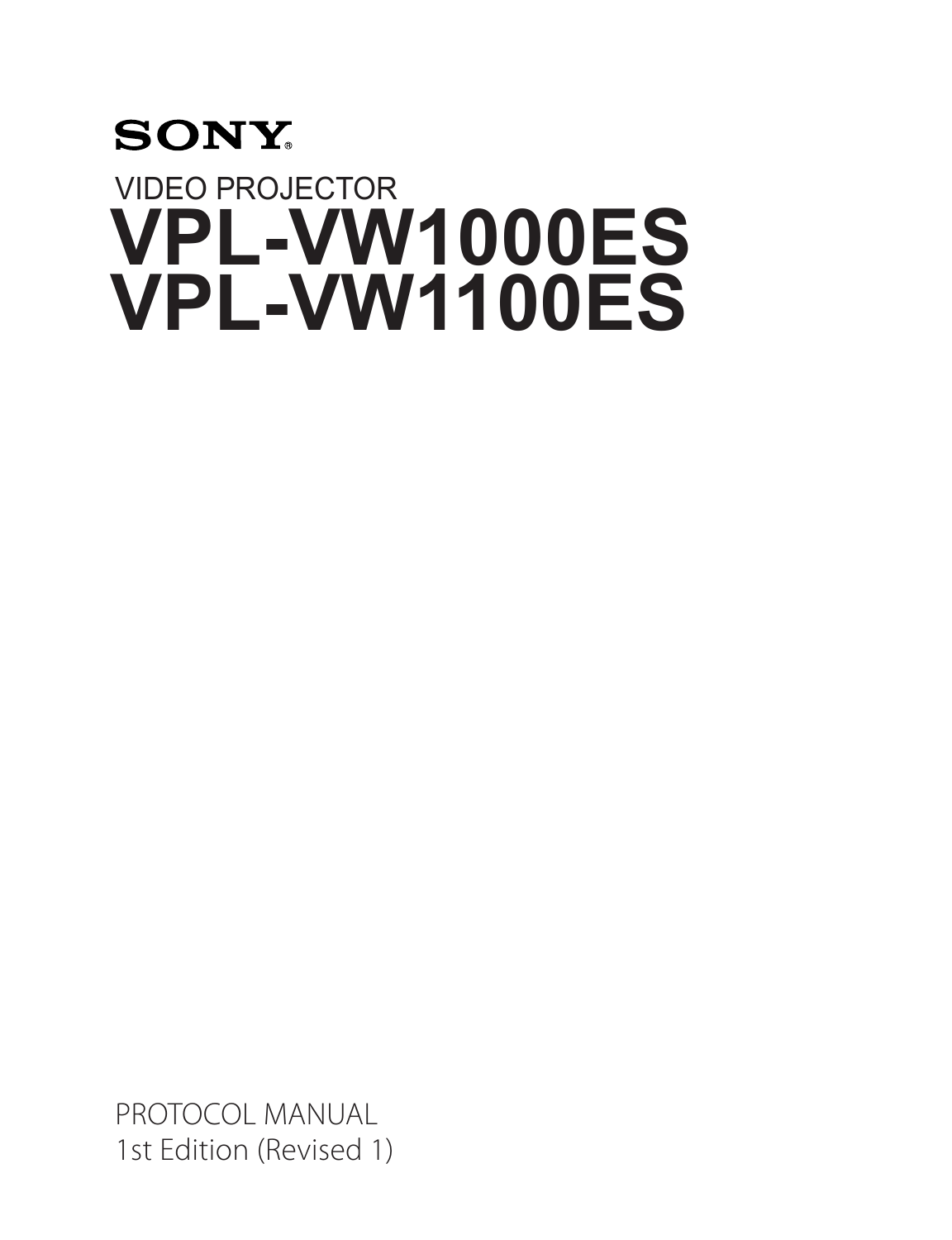# **SONY** VIDEO PROJECTOR **VPL-VW1000ES VPL-VW1100ES**

PROTOCOL MANUAL 1st Edition (Revised 1)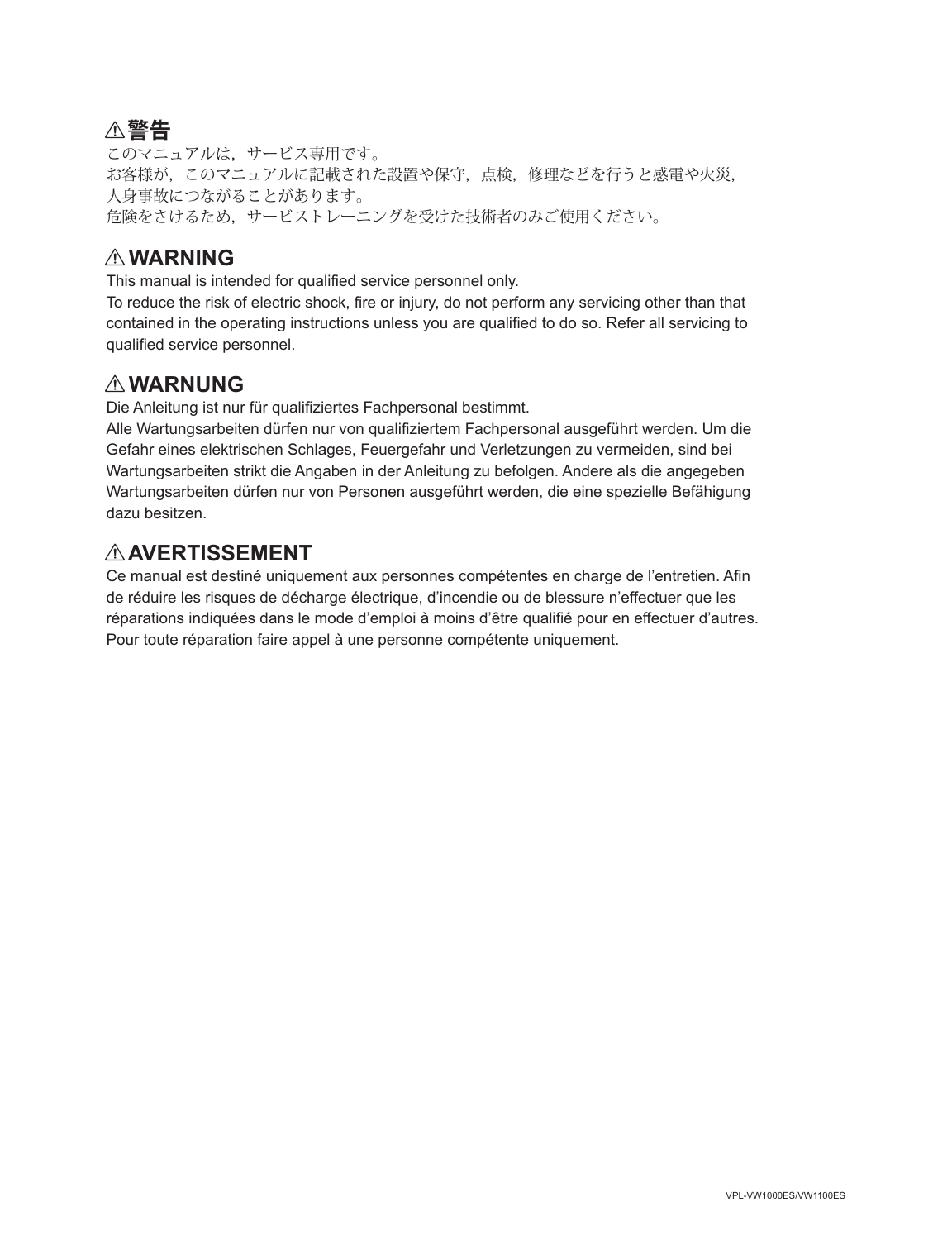### ! **警告**

このマニュアルは,サービス専用です。 お客様が,このマニュアルに記載された設置や保守,点検,修理などを行うと感電や火災, 人身事故につながることがあります。 危険をさけるため,サービストレーニングを受けた技術者のみご使用ください。

### ! **WARNING**

This manual is intended for qualified service personnel only.

To reduce the risk of electric shock, fire or injury, do not perform any servicing other than that contained in the operating instructions unless you are qualified to do so. Refer all servicing to qualified service personnel.

### ! **WARNUNG**

Die Anleitung ist nur für qualifiziertes Fachpersonal bestimmt.

Alle Wartungsarbeiten dürfen nur von qualifiziertem Fachpersonal ausgeführt werden. Um die Gefahr eines elektrischen Schlages, Feuergefahr und Verletzungen zu vermeiden, sind bei Wartungsarbeiten strikt die Angaben in der Anleitung zu befolgen. Andere als die angegeben Wartungsarbeiten dürfen nur von Personen ausgeführt werden, die eine spezielle Befähigung dazu besitzen.

### ! **AVERTISSEMENT**

Ce manual est destiné uniquement aux personnes compétentes en charge de l'entretien. Afin de réduire les risques de décharge électrique, d'incendie ou de blessure n'effectuer que les réparations indiquées dans le mode d'emploi à moins d'être qualifié pour en effectuer d'autres. Pour toute réparation faire appel à une personne compétente uniquement.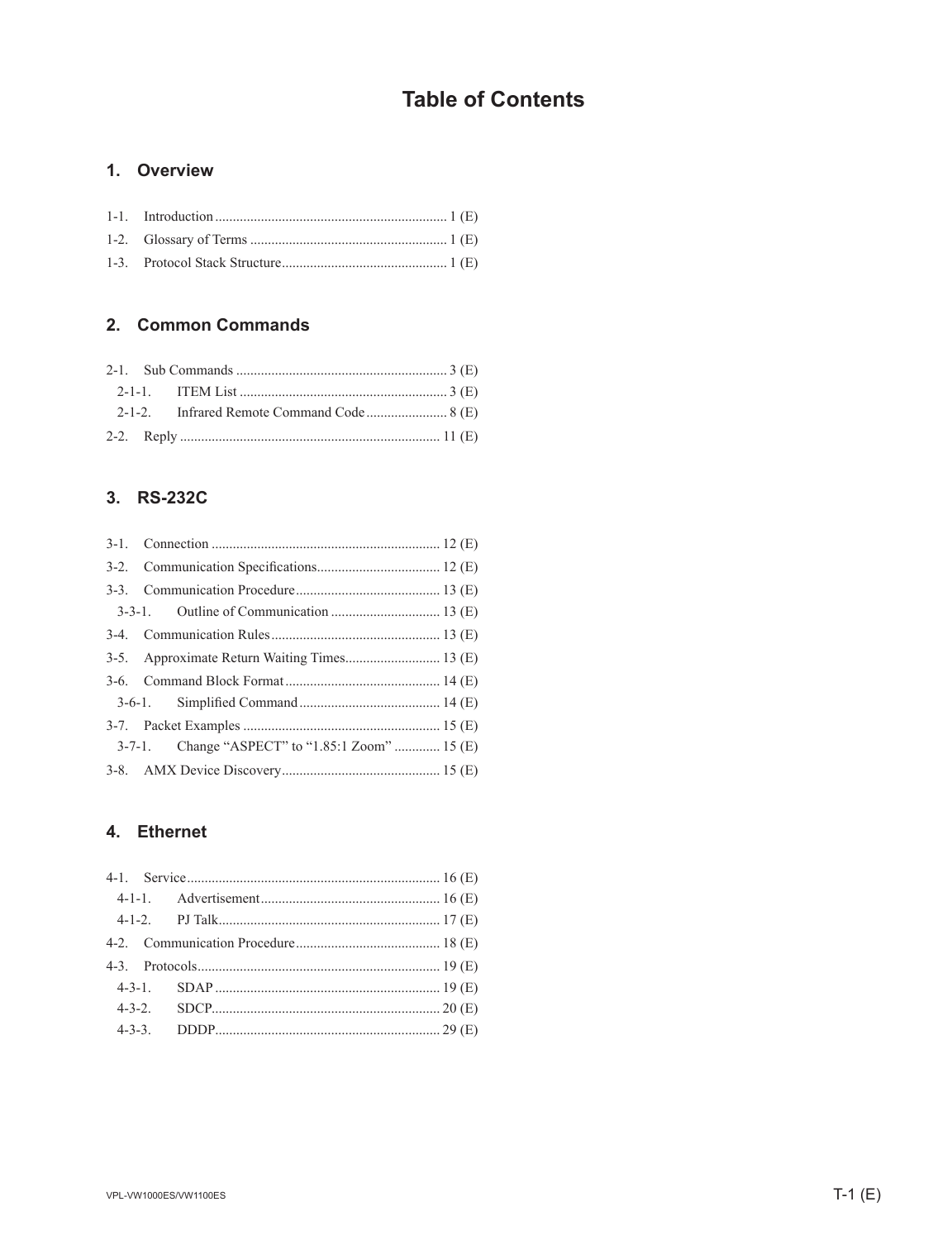### **Table of Contents**

#### 1. Overview

### 2. Common Commands

### 3. RS-232C

| 3-5. Approximate Return Waiting Times 13 (E)    |
|-------------------------------------------------|
|                                                 |
|                                                 |
|                                                 |
| 3-7-1. Change "ASPECT" to "1.85:1 Zoom"  15 (E) |
|                                                 |

### 4. Ethernet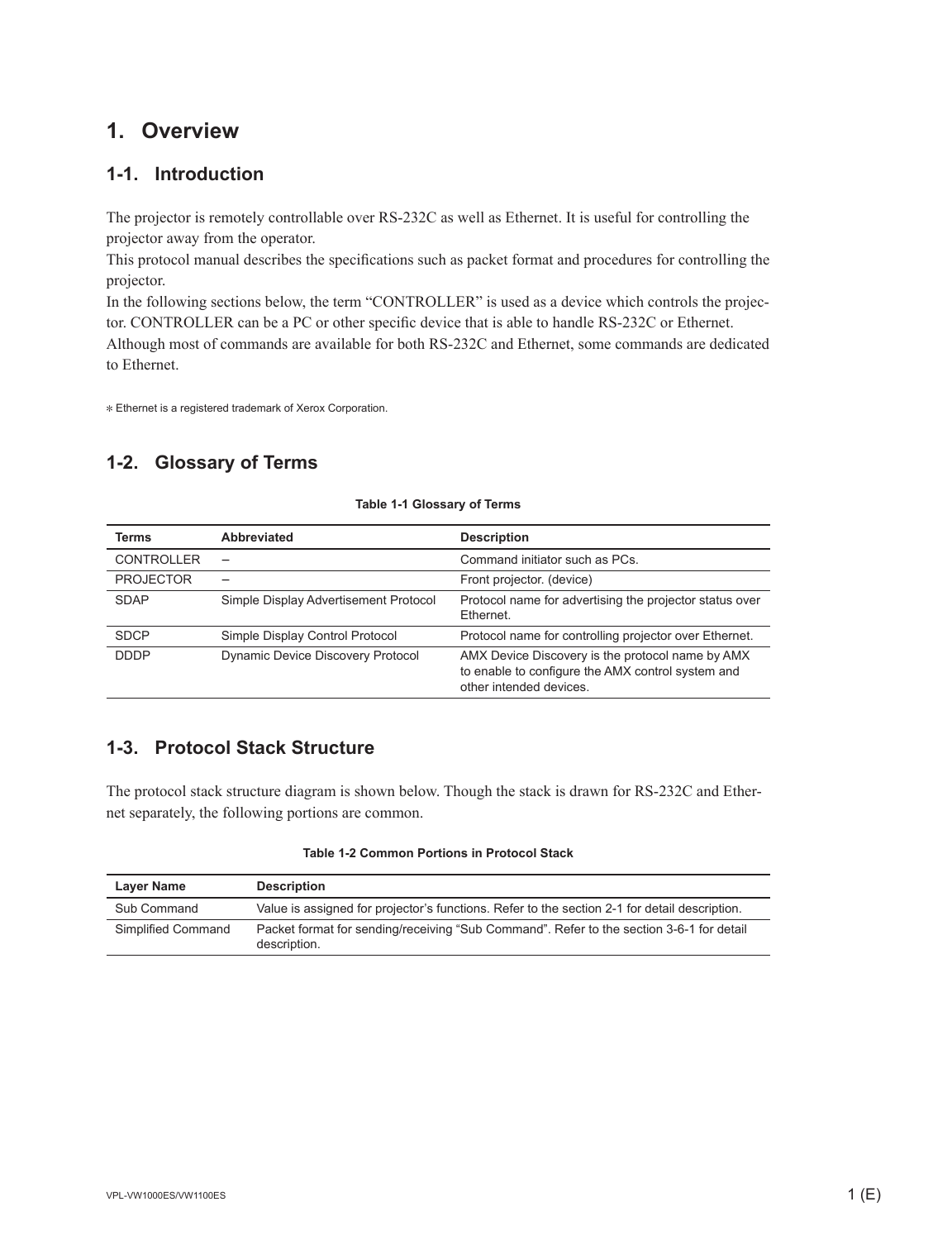### **1. Overview**

#### **1-1. Introduction**

The projector is remotely controllable over RS-232C as well as Ethernet. It is useful for controlling the projector away from the operator.

This protocol manual describes the specifications such as packet format and procedures for controlling the projector.

In the following sections below, the term "CONTROLLER" is used as a device which controls the projector. CONTROLLER can be a PC or other specific device that is able to handle RS-232C or Ethernet. Although most of commands are available for both RS-232C and Ethernet, some commands are dedicated to Ethernet.

\* Ethernet is a registered trademark of Xerox Corporation.

### **1-2. Glossary of Terms**

| <b>Terms</b>      | <b>Abbreviated</b>                    | <b>Description</b>                                                                                                               |
|-------------------|---------------------------------------|----------------------------------------------------------------------------------------------------------------------------------|
| <b>CONTROLLER</b> |                                       | Command initiator such as PCs.                                                                                                   |
| <b>PROJECTOR</b>  |                                       | Front projector. (device)                                                                                                        |
| <b>SDAP</b>       | Simple Display Advertisement Protocol | Protocol name for advertising the projector status over<br>Ethernet.                                                             |
| <b>SDCP</b>       | Simple Display Control Protocol       | Protocol name for controlling projector over Ethernet.                                                                           |
| <b>DDDP</b>       | Dynamic Device Discovery Protocol     | AMX Device Discovery is the protocol name by AMX<br>to enable to configure the AMX control system and<br>other intended devices. |

#### **Table 1-1 Glossary of Terms**

#### **1-3. Protocol Stack Structure**

The protocol stack structure diagram is shown below. Though the stack is drawn for RS-232C and Ethernet separately, the following portions are common.

|  |  | Table 1-2 Common Portions in Protocol Stack |  |  |  |  |
|--|--|---------------------------------------------|--|--|--|--|
|--|--|---------------------------------------------|--|--|--|--|

| Layer Name         | <b>Description</b>                                                                                       |
|--------------------|----------------------------------------------------------------------------------------------------------|
| Sub Command        | Value is assigned for projector's functions. Refer to the section 2-1 for detail description.            |
| Simplified Command | Packet format for sending/receiving "Sub Command". Refer to the section 3-6-1 for detail<br>description. |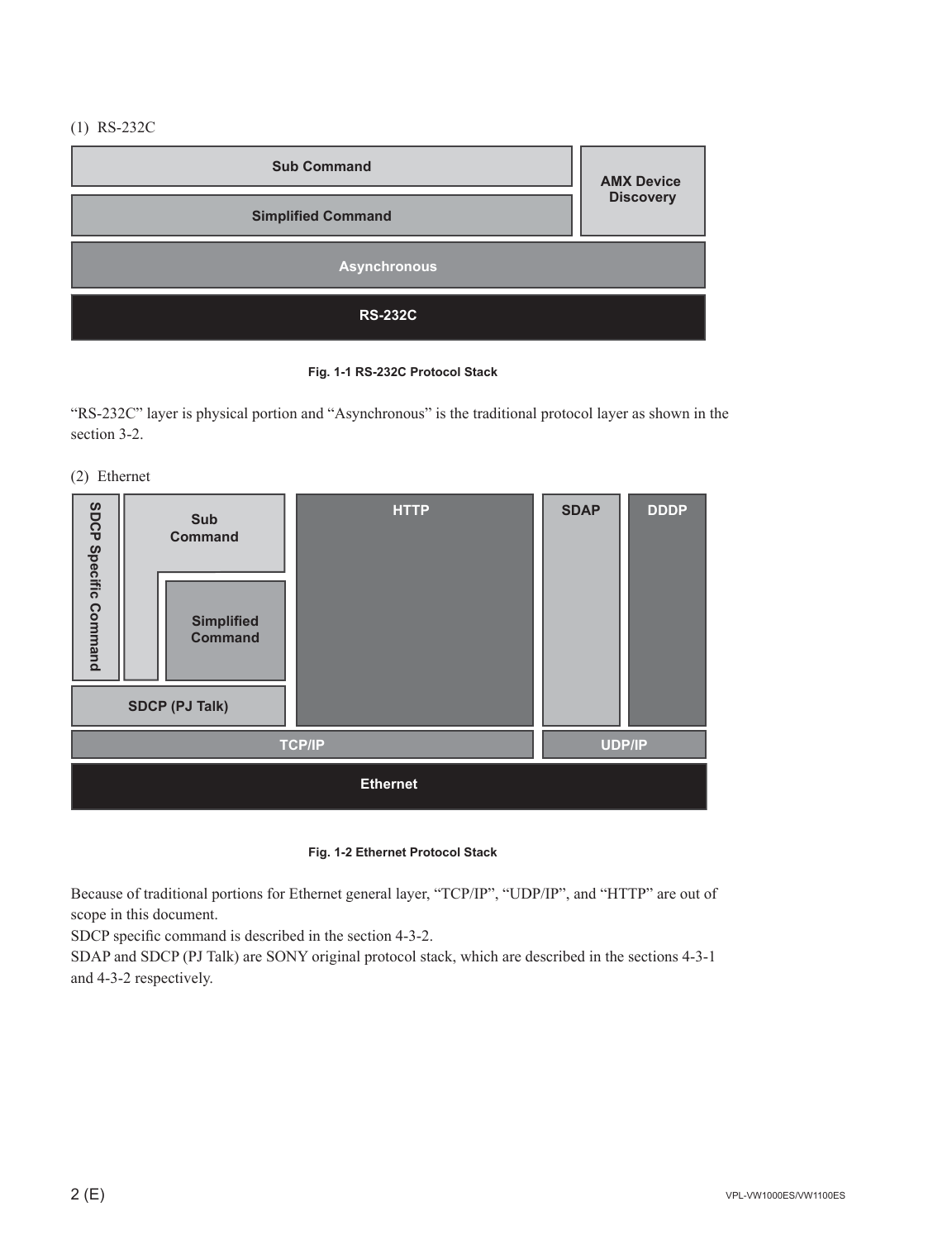(1) RS-232C



**Fig. 1-1 RS-232C Protocol Stack**

"RS-232C" layer is physical portion and "Asynchronous" is the traditional protocol layer as shown in the section 3-2.

(2) Ethernet



**Fig. 1-2 Ethernet Protocol Stack**

Because of traditional portions for Ethernet general layer, "TCP/IP", "UDP/IP", and "HTTP" are out of scope in this document.

SDCP specific command is described in the section 4-3-2.

SDAP and SDCP (PJ Talk) are SONY original protocol stack, which are described in the sections 4-3-1 and 4-3-2 respectively.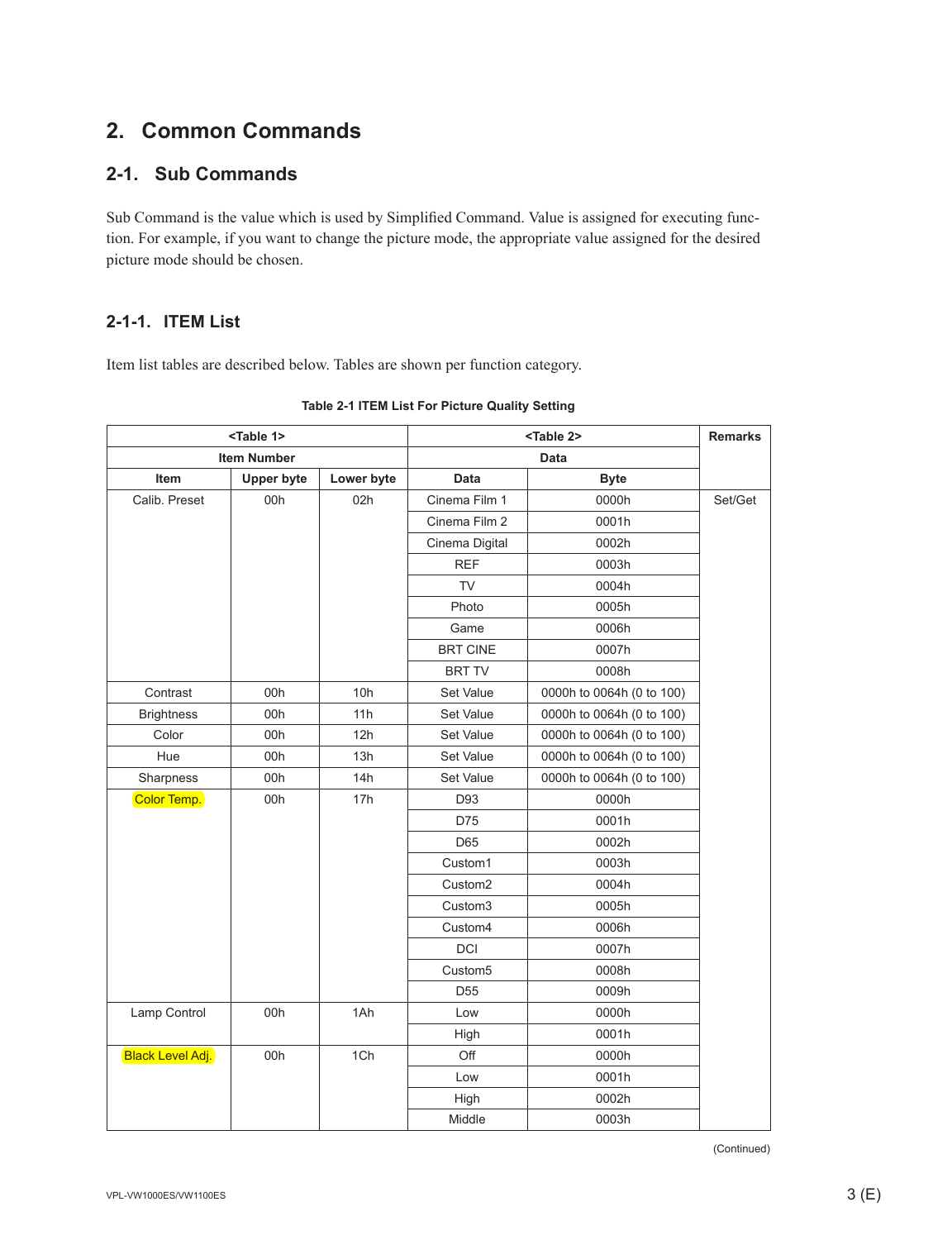### **2. Common Commands**

#### **2-1. Sub Commands**

Sub Command is the value which is used by Simplified Command. Value is assigned for executing function. For example, if you want to change the picture mode, the appropriate value assigned for the desired picture mode should be chosen.

#### **2-1-1. ITEM List**

Item list tables are described below. Tables are shown per function category.

| <table 1=""></table>    |                   | <table 2=""></table> |                     | <b>Remarks</b>            |         |
|-------------------------|-------------------|----------------------|---------------------|---------------------------|---------|
| <b>Item Number</b>      |                   |                      |                     | Data                      |         |
| Item                    | <b>Upper byte</b> | Lower byte           | <b>Data</b>         | <b>Byte</b>               |         |
| Calib. Preset           | 00h               | 02h                  | Cinema Film 1       | 0000h                     | Set/Get |
|                         |                   |                      | Cinema Film 2       | 0001h                     |         |
|                         |                   |                      | Cinema Digital      | 0002h                     |         |
|                         |                   |                      | <b>REF</b>          | 0003h                     |         |
|                         |                   |                      | <b>TV</b>           | 0004h                     |         |
|                         |                   |                      | Photo               | 0005h                     |         |
|                         |                   |                      | Game                | 0006h                     |         |
|                         |                   |                      | <b>BRT CINE</b>     | 0007h                     |         |
|                         |                   |                      | <b>BRT TV</b>       | 0008h                     |         |
| Contrast                | 00h               | 10h                  | Set Value           | 0000h to 0064h (0 to 100) |         |
| <b>Brightness</b>       | 00h               | 11h                  | Set Value           | 0000h to 0064h (0 to 100) |         |
| Color                   | 00h               | 12h                  | Set Value           | 0000h to 0064h (0 to 100) |         |
| Hue                     | 00h               | 13h                  | Set Value           | 0000h to 0064h (0 to 100) |         |
| Sharpness               | 00h               | 14h                  | Set Value           | 0000h to 0064h (0 to 100) |         |
| Color Temp.             | 00h               | 17h                  | D93                 | 0000h                     |         |
|                         |                   |                      | D75                 | 0001h                     |         |
|                         |                   |                      | D65                 | 0002h                     |         |
|                         |                   |                      | Custom1             | 0003h                     |         |
|                         |                   |                      | Custom <sub>2</sub> | 0004h                     |         |
|                         |                   |                      | Custom <sub>3</sub> | 0005h                     |         |
|                         |                   |                      | Custom4             | 0006h                     |         |
|                         |                   |                      | <b>DCI</b>          | 0007h                     |         |
|                         |                   |                      | Custom <sub>5</sub> | 0008h                     |         |
|                         |                   |                      | D <sub>55</sub>     | 0009h                     |         |
| Lamp Control            | 00h               | 1Ah                  | Low                 | 0000h                     |         |
|                         |                   |                      | High                | 0001h                     |         |
| <b>Black Level Adj.</b> | 00h               | 1Ch                  | Off                 | 0000h                     |         |
|                         |                   |                      | Low                 | 0001h                     |         |
|                         |                   |                      | High                | 0002h                     |         |
|                         |                   |                      | Middle              | 0003h                     |         |

#### **Table 2-1 ITEM List For Picture Quality Setting**

(Continued)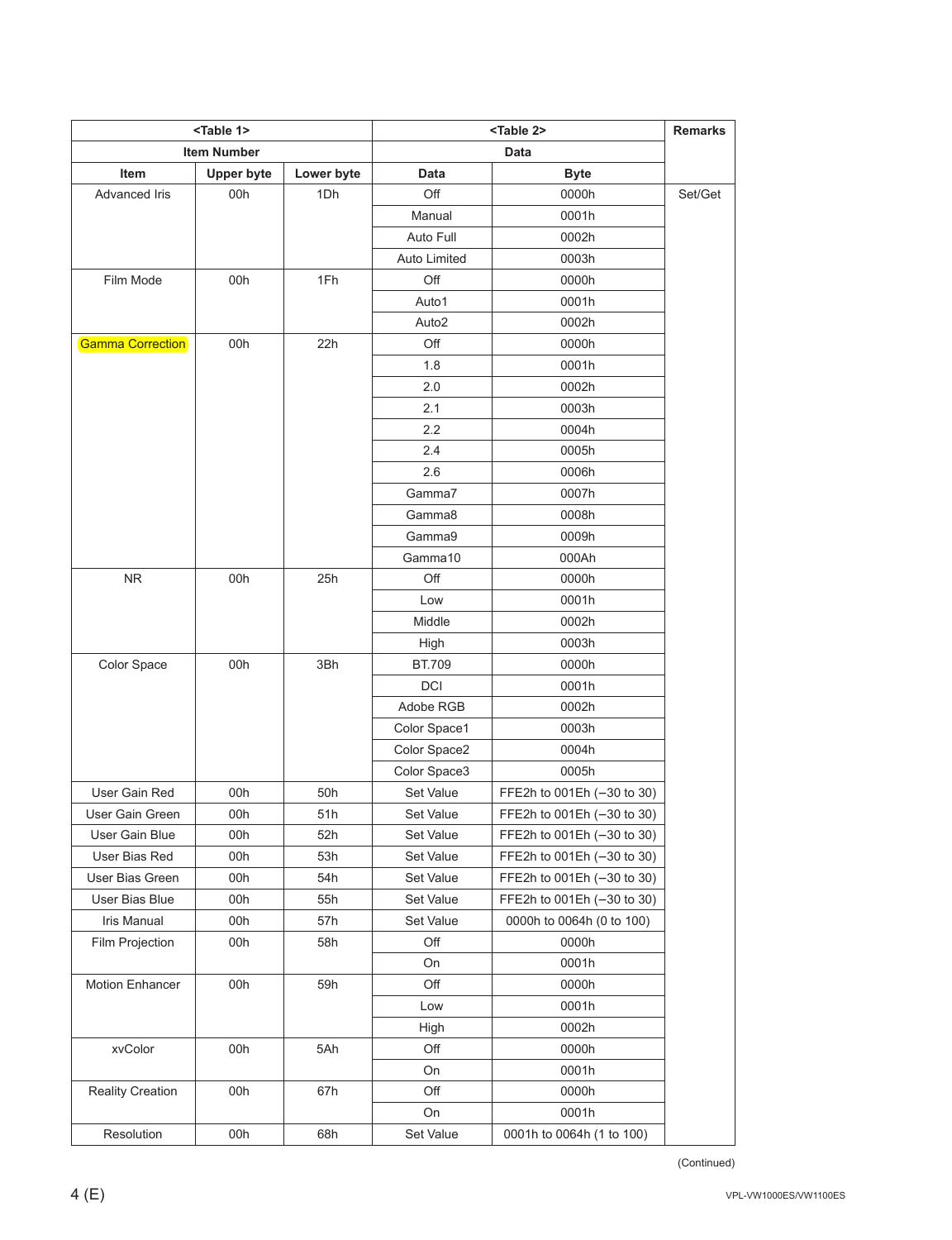| <table 1=""></table>    |                    |            | <b>Remarks</b>    |                            |         |  |
|-------------------------|--------------------|------------|-------------------|----------------------------|---------|--|
|                         | <b>Item Number</b> |            |                   | Data                       |         |  |
| Item                    | <b>Upper byte</b>  | Lower byte | Data              | <b>Byte</b>                |         |  |
| Advanced Iris           | 00h                | 1Dh        | Off               | 0000h                      | Set/Get |  |
|                         |                    |            | Manual            | 0001h                      |         |  |
|                         |                    |            | Auto Full         | 0002h                      |         |  |
|                         |                    |            | Auto Limited      | 0003h                      |         |  |
| Film Mode               | 00h                | 1Fh        | Off               | 0000h                      |         |  |
|                         |                    |            | Auto1             | 0001h                      |         |  |
|                         |                    |            | Auto <sub>2</sub> | 0002h                      |         |  |
| <b>Gamma Correction</b> | 00h                | 22h        | Off               | 0000h                      |         |  |
|                         |                    |            | 1.8               | 0001h                      |         |  |
|                         |                    |            | 2.0               | 0002h                      |         |  |
|                         |                    |            | 2.1               | 0003h                      |         |  |
|                         |                    |            | 2.2               | 0004h                      |         |  |
|                         |                    |            | 2.4               | 0005h                      |         |  |
|                         |                    |            | 2.6               | 0006h                      |         |  |
|                         |                    |            | Gamma7            | 0007h                      |         |  |
|                         |                    |            | Gamma8            | 0008h                      |         |  |
|                         |                    |            | Gamma9            | 0009h                      |         |  |
|                         |                    |            | Gamma10           | 000Ah                      |         |  |
| <b>NR</b>               | 00h                | 25h        | Off               | 0000h                      |         |  |
|                         |                    |            | Low               | 0001h                      |         |  |
|                         |                    |            | Middle            | 0002h                      |         |  |
|                         |                    |            | High              | 0003h                      |         |  |
| Color Space             | 00h                | 3Bh        | BT.709            | 0000h                      |         |  |
|                         |                    |            | <b>DCI</b>        | 0001h                      |         |  |
|                         |                    |            | Adobe RGB         | 0002h                      |         |  |
|                         |                    |            | Color Space1      | 0003h                      |         |  |
|                         |                    |            | Color Space2      | 0004h                      |         |  |
|                         |                    |            | Color Space3      | 0005h                      |         |  |
| User Gain Red           | 00h                | 50h        | Set Value         | FFE2h to 001Eh (-30 to 30) |         |  |
| User Gain Green         | 00h                | 51h        | Set Value         | FFE2h to 001Eh (-30 to 30) |         |  |
| User Gain Blue          | 00h                | 52h        | Set Value         | FFE2h to 001Eh (-30 to 30) |         |  |
| User Bias Red           | 00h                | 53h        | Set Value         | FFE2h to 001Eh (-30 to 30) |         |  |
| User Bias Green         | 00h                | 54h        | Set Value         | FFE2h to 001Eh (-30 to 30) |         |  |
| User Bias Blue          | 00h                | 55h        | Set Value         | FFE2h to 001Eh (-30 to 30) |         |  |
| <b>Iris Manual</b>      | 00h                | 57h        | Set Value         | 0000h to 0064h (0 to 100)  |         |  |
| Film Projection         | 00h                | 58h        | Off               | 0000h                      |         |  |
|                         |                    |            | On                | 0001h                      |         |  |
| Motion Enhancer         | 00h                | 59h        | Off               | 0000h                      |         |  |
|                         |                    |            | Low               | 0001h                      |         |  |
|                         |                    |            | High              | 0002h                      |         |  |
| xvColor                 | 00h                | 5Ah        | Off               | 0000h                      |         |  |
|                         |                    |            | On                | 0001h                      |         |  |
| Reality Creation        | 00h                | 67h        | Off               | 0000h                      |         |  |
|                         |                    |            | On                | 0001h                      |         |  |
| Resolution              | 00h                | 68h        | Set Value         | 0001h to 0064h (1 to 100)  |         |  |

(Continued)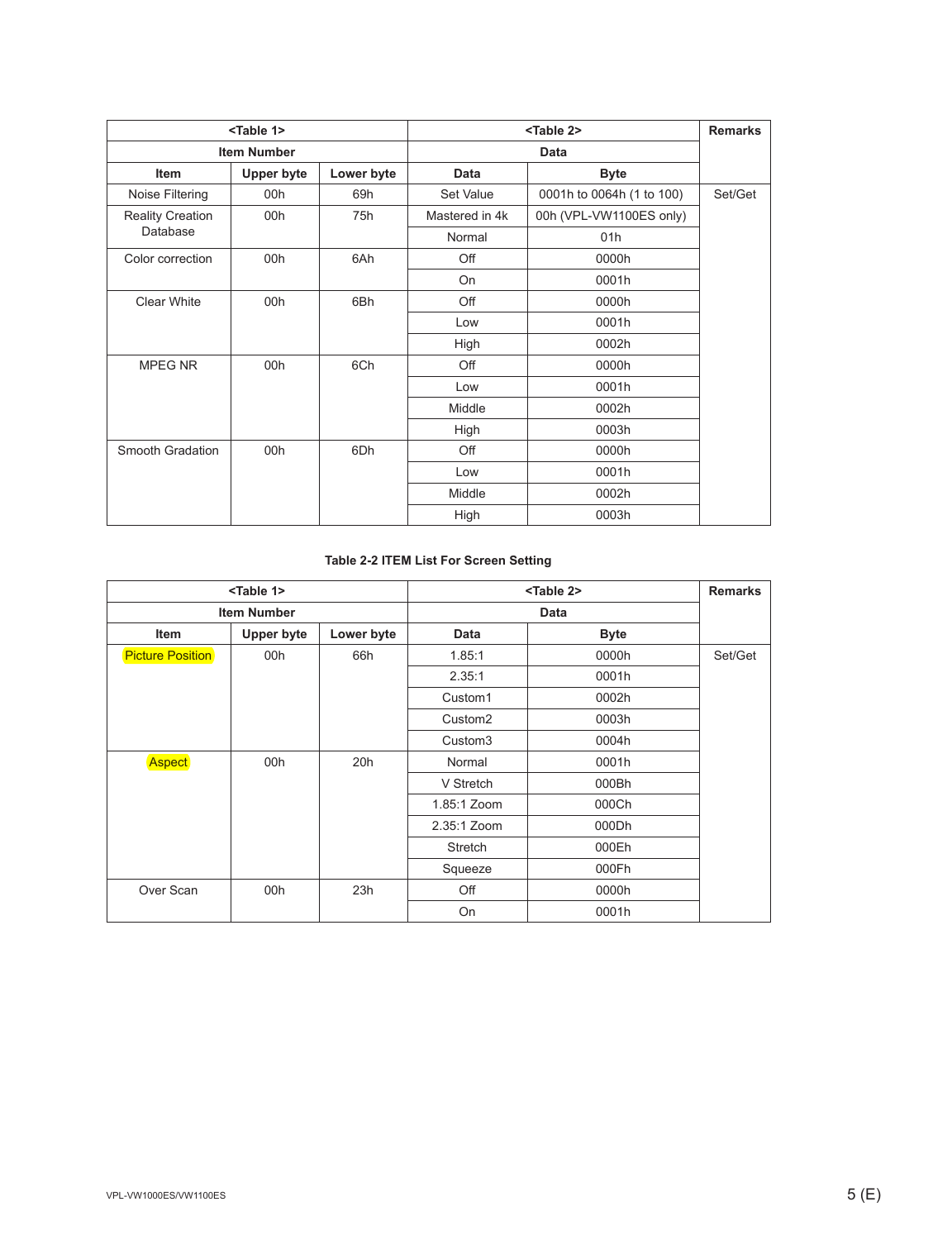| <table 1=""></table>    |                   |            |                | <table 2=""></table>      | <b>Remarks</b> |
|-------------------------|-------------------|------------|----------------|---------------------------|----------------|
| <b>Item Number</b>      |                   |            |                |                           |                |
| <b>Item</b>             | <b>Upper byte</b> | Lower byte | <b>Data</b>    | <b>Byte</b>               |                |
| Noise Filtering         | 00h               | 69h        | Set Value      | 0001h to 0064h (1 to 100) | Set/Get        |
| <b>Reality Creation</b> | 00h               | 75h        | Mastered in 4k | 00h (VPL-VW1100ES only)   |                |
| Database                |                   |            | Normal         | 01h                       |                |
| Color correction        | 00h               | 6Ah        | Off            | 0000h                     |                |
|                         |                   |            | On             | 0001h                     |                |
| Clear White             | 00h               | 6Bh        | Off            | 0000h                     |                |
|                         |                   |            | Low            | 0001h                     |                |
|                         |                   |            | High           | 0002h                     |                |
| MPEG NR                 | 00h               | 6Ch        | Off            | 0000h                     |                |
|                         |                   |            | Low            | 0001h                     |                |
|                         |                   |            | Middle         | 0002h                     |                |
|                         |                   |            | High           | 0003h                     |                |
| Smooth Gradation        | 00h               | 6Dh        | Off            | 0000h                     |                |
|                         |                   |            | Low            | 0001h                     |                |
|                         |                   |            | Middle         | 0002h                     |                |
|                         |                   |            | High           | 0003h                     |                |

#### **Table 2-2 ITEM List For Screen Setting**

|                         | <table 1=""></table> |            |                     | <table 2=""></table> | <b>Remarks</b> |
|-------------------------|----------------------|------------|---------------------|----------------------|----------------|
| <b>Item Number</b>      |                      |            |                     | <b>Data</b>          |                |
| Item                    | <b>Upper byte</b>    | Lower byte | Data                | <b>Byte</b>          |                |
| <b>Picture Position</b> | 00h                  | 66h        | 1.85:1              | 0000h                | Set/Get        |
|                         |                      |            | 2.35:1              | 0001h                |                |
|                         |                      |            | Custom1             | 0002h                |                |
|                         |                      |            | Custom <sub>2</sub> | 0003h                |                |
|                         |                      |            | Custom <sub>3</sub> | 0004h                |                |
| <b>Aspect</b>           | 00h                  | 20h        | Normal              | 0001h                |                |
|                         |                      |            | V Stretch           | 000Bh                |                |
|                         |                      |            | 1.85:1 Zoom         | 000Ch                |                |
|                         |                      |            | 2.35:1 Zoom         | 000Dh                |                |
|                         |                      |            | Stretch             | 000Eh                |                |
|                         |                      |            | Squeeze             | 000Fh                |                |
| Over Scan               | 00h                  | 23h        | Off                 | 0000h                |                |
|                         |                      |            | On                  | 0001h                |                |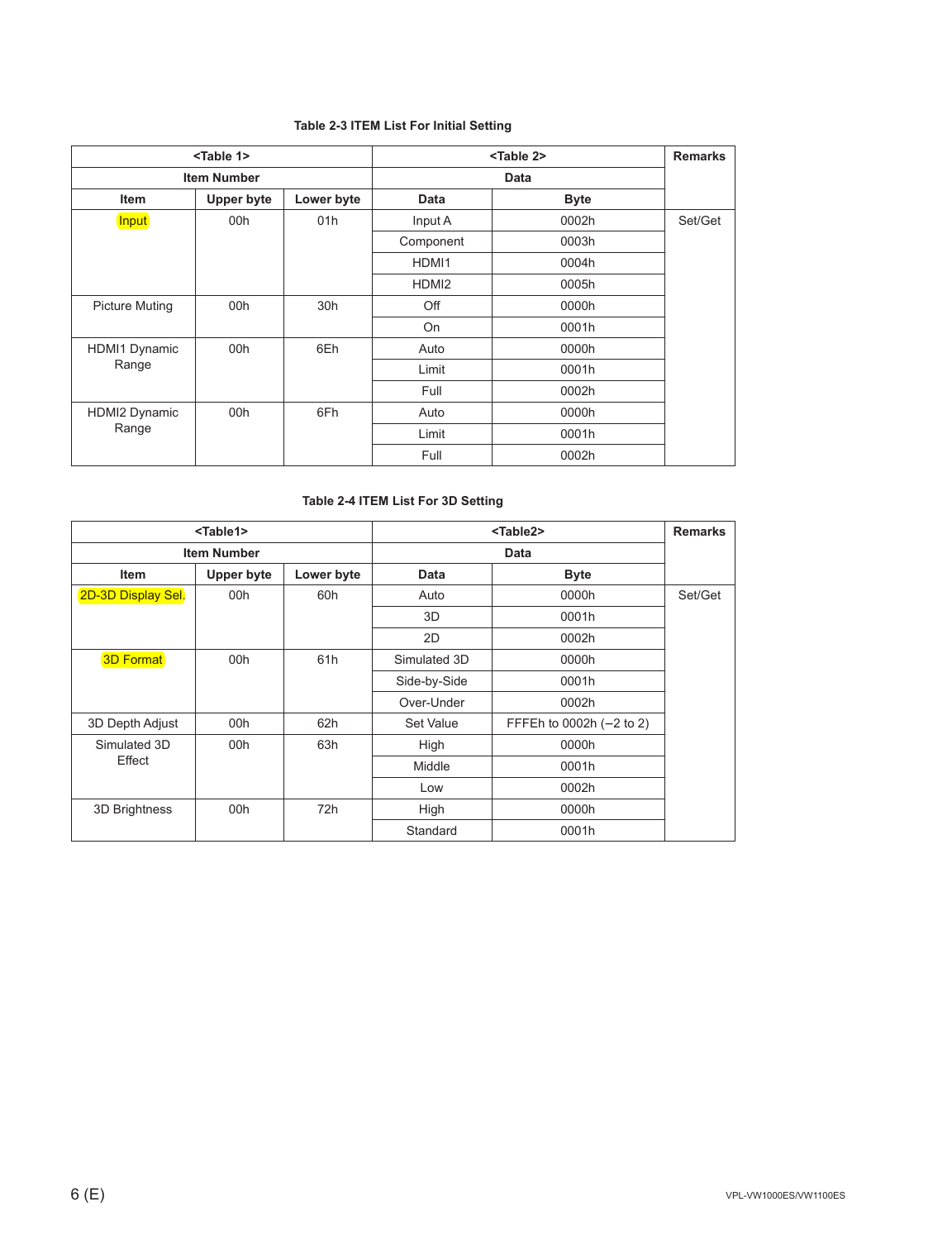#### **Table 2-3 ITEM List For Initial Setting**

| <table 1=""></table>  |                   |            |                   | <table 2=""></table> | <b>Remarks</b> |       |       |  |
|-----------------------|-------------------|------------|-------------------|----------------------|----------------|-------|-------|--|
| <b>Item Number</b>    |                   |            |                   | Data                 |                |       |       |  |
| <b>Item</b>           | <b>Upper byte</b> | Lower byte | <b>Data</b>       | <b>Byte</b>          |                |       |       |  |
| Input                 | 00h               | 01h        | Input A           | 0002h                | Set/Get        |       |       |  |
|                       |                   |            | Component         | 0003h                |                |       |       |  |
|                       |                   |            | HDMI1             | 0004h                |                |       |       |  |
|                       |                   |            | HDMI <sub>2</sub> | 0005h                |                |       |       |  |
| <b>Picture Muting</b> | 00h               | 30h        | Off               | 0000h                |                |       |       |  |
|                       |                   |            | On                | 0001h                |                |       |       |  |
| <b>HDMI1 Dynamic</b>  | 00h               | 6Eh        | Auto              | 0000h                |                |       |       |  |
| Range                 |                   |            |                   |                      |                | Limit | 0001h |  |
|                       |                   |            |                   |                      | Full           | 0002h |       |  |
| <b>HDMI2 Dynamic</b>  | 00h               | 6Fh        | Auto              | 0000h                |                |       |       |  |
| Range                 |                   |            | Limit             | 0001h                |                |       |       |  |
|                       |                   |            | Full              | 0002h                |                |       |       |  |

#### **Table 2-4 ITEM List For 3D Setting**

| <table1></table1>  |            |            | <table2></table2> | <b>Remarks</b>           |         |
|--------------------|------------|------------|-------------------|--------------------------|---------|
| <b>Item Number</b> |            |            |                   |                          |         |
| Item               | Upper byte | Lower byte | <b>Data</b>       | <b>Byte</b>              |         |
| 2D-3D Display Sel. | 00h        | 60h        | Auto              | 0000h                    | Set/Get |
|                    |            |            | 3D                | 0001h                    |         |
|                    |            |            | 2D                | 0002h                    |         |
| <b>3D Format</b>   | 00h        | 61h        | Simulated 3D      | 0000h                    |         |
|                    |            |            | Side-by-Side      | 0001h                    |         |
|                    |            |            | Over-Under        | 0002h                    |         |
| 3D Depth Adjust    | 00h        | 62h        | Set Value         | FFFEh to 0002h (-2 to 2) |         |
| Simulated 3D       | 00h        | 63h        | High              | 0000h                    |         |
| Effect             |            |            | Middle            | 0001h                    |         |
|                    |            |            | Low               | 0002h                    |         |
| 3D Brightness      | 00h        | 72h        | High              | 0000h                    |         |
|                    |            |            | Standard          | 0001h                    |         |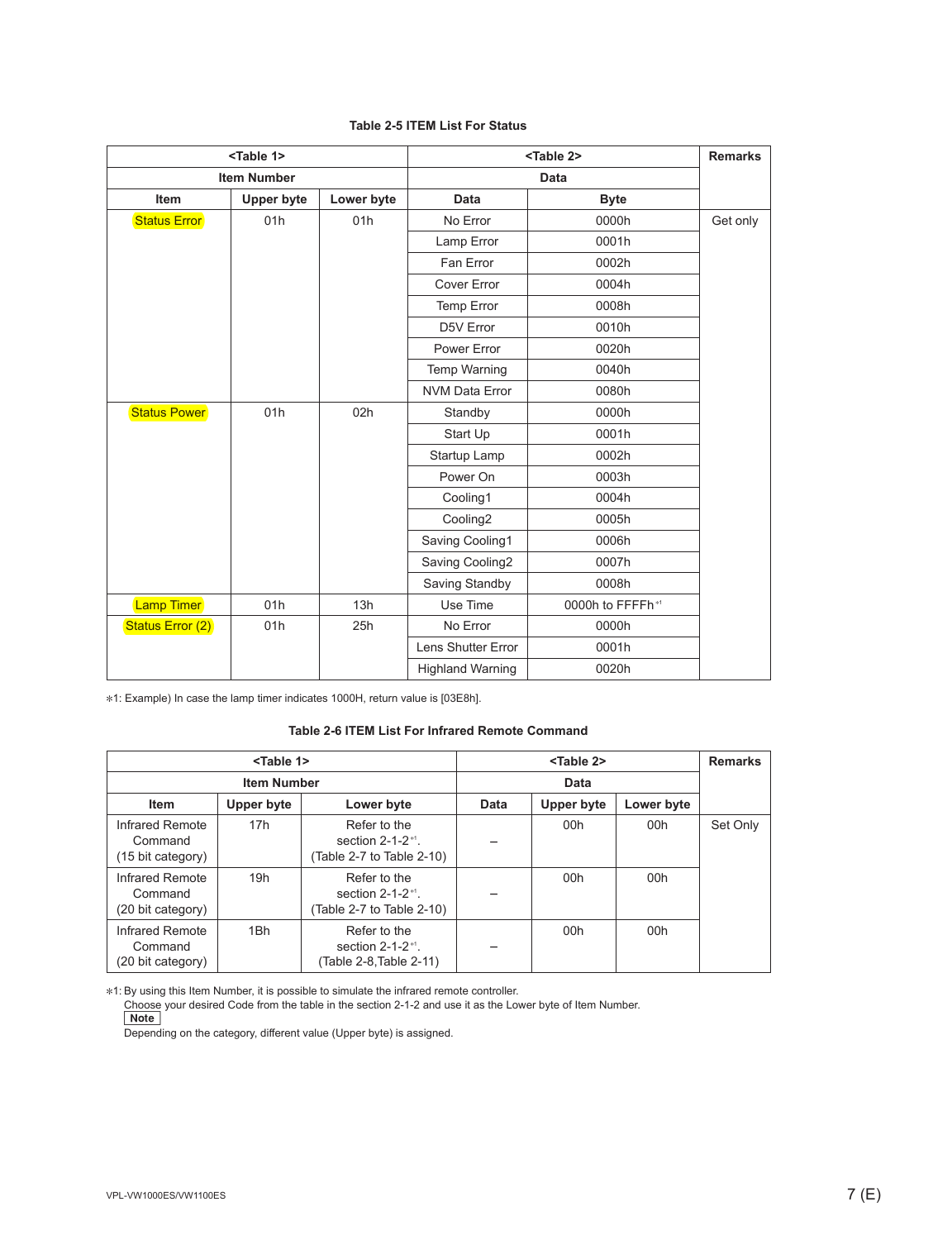|  |  |  |  |  | <b>Table 2-5 ITEM List For Status</b> |
|--|--|--|--|--|---------------------------------------|
|--|--|--|--|--|---------------------------------------|

| <table 1=""></table> |                    | <table 2=""></table> | <b>Remarks</b>          |                  |          |
|----------------------|--------------------|----------------------|-------------------------|------------------|----------|
|                      | <b>Item Number</b> |                      | <b>Data</b>             |                  |          |
| <b>Item</b>          | <b>Upper byte</b>  | Lower byte           | Data                    | <b>Byte</b>      |          |
| <b>Status Error</b>  | 01h                | 01h                  | No Error                | 0000h            | Get only |
|                      |                    |                      | Lamp Error              | 0001h            |          |
|                      |                    |                      | Fan Error               | 0002h            |          |
|                      |                    |                      | Cover Error             | 0004h            |          |
|                      |                    |                      | Temp Error              | 0008h            |          |
|                      |                    |                      | D5V Error               | 0010h            |          |
|                      |                    |                      | Power Error             | 0020h            |          |
|                      |                    |                      | <b>Temp Warning</b>     | 0040h            |          |
|                      |                    |                      | <b>NVM Data Error</b>   | 0080h            |          |
| <b>Status Power</b>  | 01h                | 02h                  | Standby                 | 0000h            |          |
|                      |                    |                      | Start Up                | 0001h            |          |
|                      |                    |                      | Startup Lamp            | 0002h            |          |
|                      |                    |                      | Power On                | 0003h            |          |
|                      |                    |                      | Cooling1                | 0004h            |          |
|                      |                    |                      | Cooling2                | 0005h            |          |
|                      |                    |                      | Saving Cooling1         | 0006h            |          |
|                      |                    |                      | Saving Cooling2         | 0007h            |          |
|                      |                    |                      | Saving Standby          | 0008h            |          |
| <b>Lamp Timer</b>    | 01h                | 13h                  | Use Time                | 0000h to FFFFh*1 |          |
| Status Error (2)     | 01h                | 25h                  | No Error                | 0000h            |          |
|                      |                    |                      | Lens Shutter Error      | 0001h            |          |
|                      |                    |                      | <b>Highland Warning</b> | 0020h            |          |

\*1: Example) In case the lamp timer indicates 1000H, return value is [03E8h].

#### **Table 2-6 ITEM List For Infrared Remote Command**

|                                                 | <table 1=""></table> |                                                                              |      | <table 2=""></table> |            | <b>Remarks</b> |
|-------------------------------------------------|----------------------|------------------------------------------------------------------------------|------|----------------------|------------|----------------|
| <b>Item Number</b>                              |                      |                                                                              |      | Data                 |            |                |
| <b>Item</b>                                     | Upper byte           | Lower byte                                                                   | Data | Upper byte           | Lower byte |                |
| Infrared Remote<br>Command<br>(15 bit category) | 17h                  | Refer to the<br>section $2-1-2$ <sup>*1</sup> .<br>(Table 2-7 to Table 2-10) |      | 00h                  | 00h        | Set Only       |
| Infrared Remote<br>Command<br>(20 bit category) | 19h                  | Refer to the<br>section $2-1-2$ <sup>*1</sup> .<br>(Table 2-7 to Table 2-10) |      | 00h                  | 00h        |                |
| Infrared Remote<br>Command<br>(20 bit category) | 1Bh                  | Refer to the<br>section $2-1-2$ <sup>*1</sup> .<br>(Table 2-8, Table 2-11)   |      | 00h                  | 00h        |                |

\*1: By using this Item Number, it is possible to simulate the infrared remote controller.

 Choose your desired Code from the table in the section 2-1-2 and use it as the Lower byte of Item Number. **Note** 

Depending on the category, different value (Upper byte) is assigned.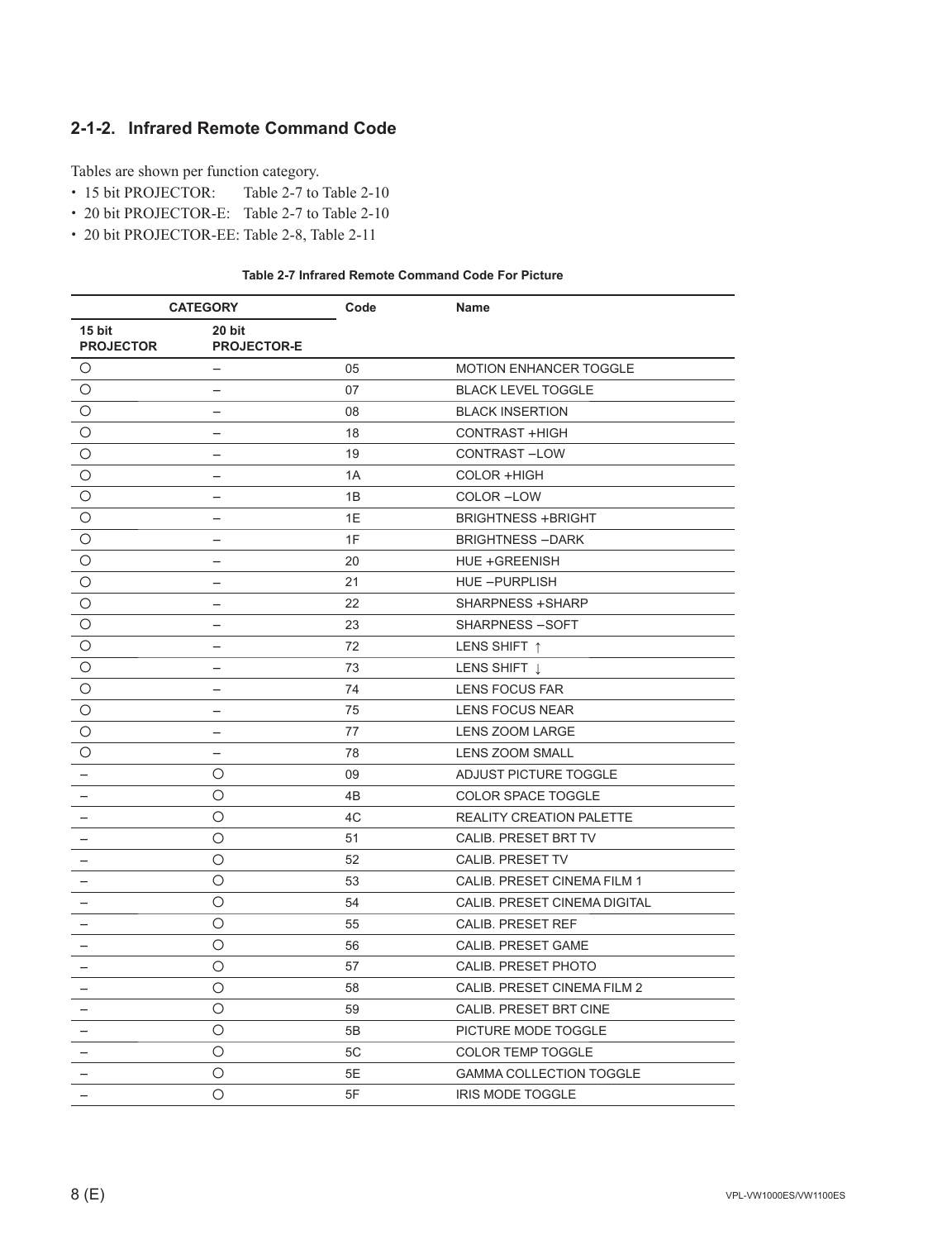### **2-1-2. Infrared Remote Command Code**

Tables are shown per function category.

- . 15 bit PROJECTOR: Table 2-7 to Table 2-10
- . 20 bit PROJECTOR-E: Table 2-7 to Table 2-10
- . 20 bit PROJECTOR-EE: Table 2-8, Table 2-11

|  | Table 2-7 Infrared Remote Command Code For Picture |  |
|--|----------------------------------------------------|--|
|--|----------------------------------------------------|--|

| <b>CATEGORY</b>            |                                  | Code | Name                            |
|----------------------------|----------------------------------|------|---------------------------------|
| 15 bit<br><b>PROJECTOR</b> | 20 bit<br><b>PROJECTOR-E</b>     |      |                                 |
| O                          |                                  | 05   | <b>MOTION ENHANCER TOGGLE</b>   |
| O                          |                                  | 07   | <b>BLACK LEVEL TOGGLE</b>       |
| O                          |                                  | 08   | <b>BLACK INSERTION</b>          |
| O                          |                                  | 18   | CONTRAST + HIGH                 |
| O                          |                                  | 19   | CONTRAST-LOW                    |
| O                          |                                  | 1A   | COLOR +HIGH                     |
| O                          |                                  | 1B   | COLOR-LOW                       |
| O                          | $\overline{\phantom{0}}$         | 1E   | <b>BRIGHTNESS +BRIGHT</b>       |
| $\circ$                    | $\overline{\phantom{0}}$         | 1F   | <b>BRIGHTNESS-DARK</b>          |
| O                          |                                  | 20   | HUE +GREENISH                   |
| O                          | $\overbrace{\phantom{12322111}}$ | 21   | HUE-PURPLISH                    |
| $\circ$                    | $\qquad \qquad -$                | 22   | SHARPNESS + SHARP               |
| O                          | $\overline{\phantom{0}}$         | 23   | SHARPNESS-SOFT                  |
| O                          | -                                | 72   | LENS SHIFT 1                    |
| $\circ$                    | -                                | 73   | LENS SHIFT 1                    |
| O                          | -                                | 74   | LENS FOCUS FAR                  |
| O                          | -                                | 75   | <b>LENS FOCUS NEAR</b>          |
| O                          | $\qquad \qquad -$                | 77   | <b>LENS ZOOM LARGE</b>          |
| O                          | $\qquad \qquad -$                | 78   | LENS ZOOM SMALL                 |
|                            | O                                | 09   | ADJUST PICTURE TOGGLE           |
|                            | O                                | 4B   | COLOR SPACE TOGGLE              |
|                            | O                                | 4C   | <b>REALITY CREATION PALETTE</b> |
|                            | O                                | 51   | CALIB. PRESET BRT TV            |
|                            | O                                | 52   | CALIB. PRESET TV                |
|                            | O                                | 53   | CALIB. PRESET CINEMA FILM 1     |
|                            | O                                | 54   | CALIB. PRESET CINEMA DIGITAL    |
|                            | O                                | 55   | <b>CALIB. PRESET REF</b>        |
|                            | O                                | 56   | <b>CALIB. PRESET GAME</b>       |
| $\qquad \qquad -$          | O                                | 57   | CALIB. PRESET PHOTO             |
|                            | O                                | 58   | CALIB. PRESET CINEMA FILM 2     |
|                            | O                                | 59   | CALIB. PRESET BRT CINE          |
|                            | $\circ$                          | 5B   | PICTURE MODE TOGGLE             |
|                            | O                                | 5C   | <b>COLOR TEMP TOGGLE</b>        |
| $\qquad \qquad -$          | O                                | 5E   | <b>GAMMA COLLECTION TOGGLE</b>  |
| $\overline{\phantom{0}}$   | $\circ$                          | 5F   | <b>IRIS MODE TOGGLE</b>         |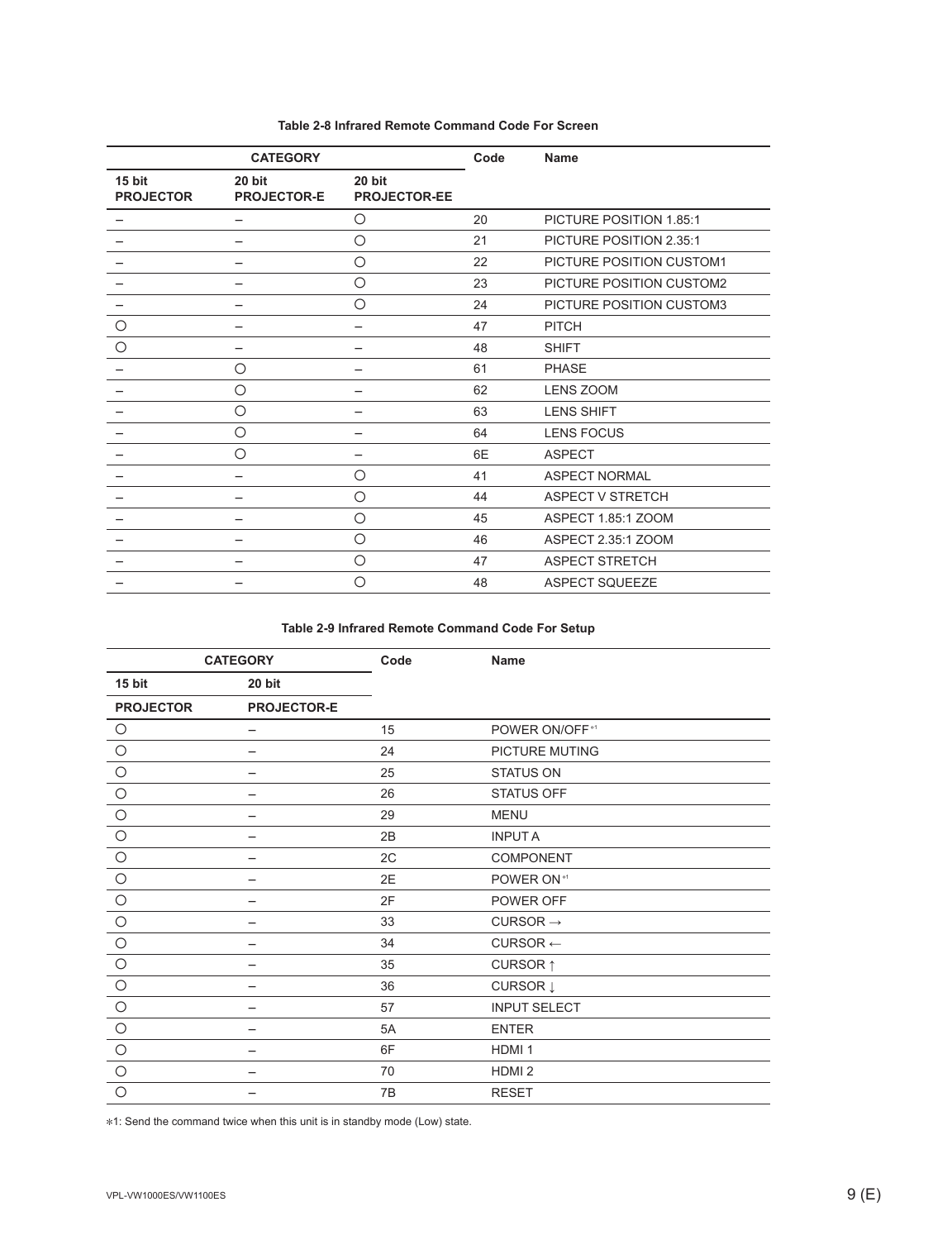| <b>CATEGORY</b>            |                              | Code                          | <b>Name</b> |                          |
|----------------------------|------------------------------|-------------------------------|-------------|--------------------------|
| 15 bit<br><b>PROJECTOR</b> | 20 bit<br><b>PROJECTOR-E</b> | 20 bit<br><b>PROJECTOR-EE</b> |             |                          |
|                            |                              | О                             | 20          | PICTURE POSITION 1.85:1  |
|                            | -                            | $\circ$                       | 21          | PICTURE POSITION 2.35:1  |
|                            |                              | $\circ$                       | 22          | PICTURE POSITION CUSTOM1 |
|                            |                              | $\bigcirc$                    | 23          | PICTURE POSITION CUSTOM2 |
|                            |                              | $\circ$                       | 24          | PICTURE POSITION CUSTOM3 |
| O                          | -                            | -                             | 47          | <b>PITCH</b>             |
| $\bigcirc$                 |                              |                               | 48          | <b>SHIFT</b>             |
|                            | О                            |                               | 61          | <b>PHASE</b>             |
|                            | Ο                            |                               | 62          | <b>LENS ZOOM</b>         |
|                            | Ο                            |                               | 63          | <b>LENS SHIFT</b>        |
|                            | O                            | -                             | 64          | <b>LENS FOCUS</b>        |
|                            | Ο                            |                               | 6E          | <b>ASPECT</b>            |
|                            |                              | $\circ$                       | 41          | <b>ASPECT NORMAL</b>     |
|                            |                              | O                             | 44          | ASPECT V STRETCH         |
|                            |                              | $\circ$                       | 45          | ASPECT 1.85:1 ZOOM       |
|                            |                              | $\circ$                       | 46          | ASPECT 2.35:1 ZOOM       |
|                            |                              | $\circ$                       | 47          | <b>ASPECT STRETCH</b>    |
|                            |                              | Ο                             | 48          | <b>ASPECT SQUEEZE</b>    |

#### **Table 2-8 Infrared Remote Command Code For Screen**

#### **Table 2-9 Infrared Remote Command Code For Setup**

|                  | <b>CATEGORY</b>          | Code | <b>Name</b>            |
|------------------|--------------------------|------|------------------------|
| 15 bit           | 20 bit                   |      |                        |
| <b>PROJECTOR</b> | <b>PROJECTOR-E</b>       |      |                        |
| $\circ$          | $\overline{\phantom{m}}$ | 15   | POWER ON/OFF*1         |
| $\bigcirc$       |                          | 24   | <b>PICTURE MUTING</b>  |
| $\bigcirc$       |                          | 25   | <b>STATUS ON</b>       |
| $\bigcirc$       |                          | 26   | STATUS OFF             |
| $\bigcirc$       |                          | 29   | <b>MENU</b>            |
| $\bigcirc$       |                          | 2B   | <b>INPUTA</b>          |
| $\bigcirc$       |                          | 2C   | COMPONENT              |
| $\bigcirc$       | -                        | 2E   | POWER ON <sup>*1</sup> |
| $\bigcirc$       |                          | 2F   | POWER OFF              |
| $\circ$          |                          | 33   | CURSOR $\rightarrow$   |
| $\circ$          |                          | 34   | $CURSOR \leftarrow$    |
| $\bigcirc$       | -                        | 35   | CURSOR <sub>1</sub>    |
| $\bigcirc$       |                          | 36   | CURSOR Į               |
| $\bigcirc$       |                          | 57   | <b>INPUT SELECT</b>    |
| $\bigcirc$       |                          | 5A   | <b>ENTER</b>           |
| $\circ$          |                          | 6F   | HDMI <sub>1</sub>      |
| $\circ$          |                          | 70   | HDMI <sub>2</sub>      |
| $\circ$          |                          | 7B   | <b>RESET</b>           |

\*1: Send the command twice when this unit is in standby mode (Low) state.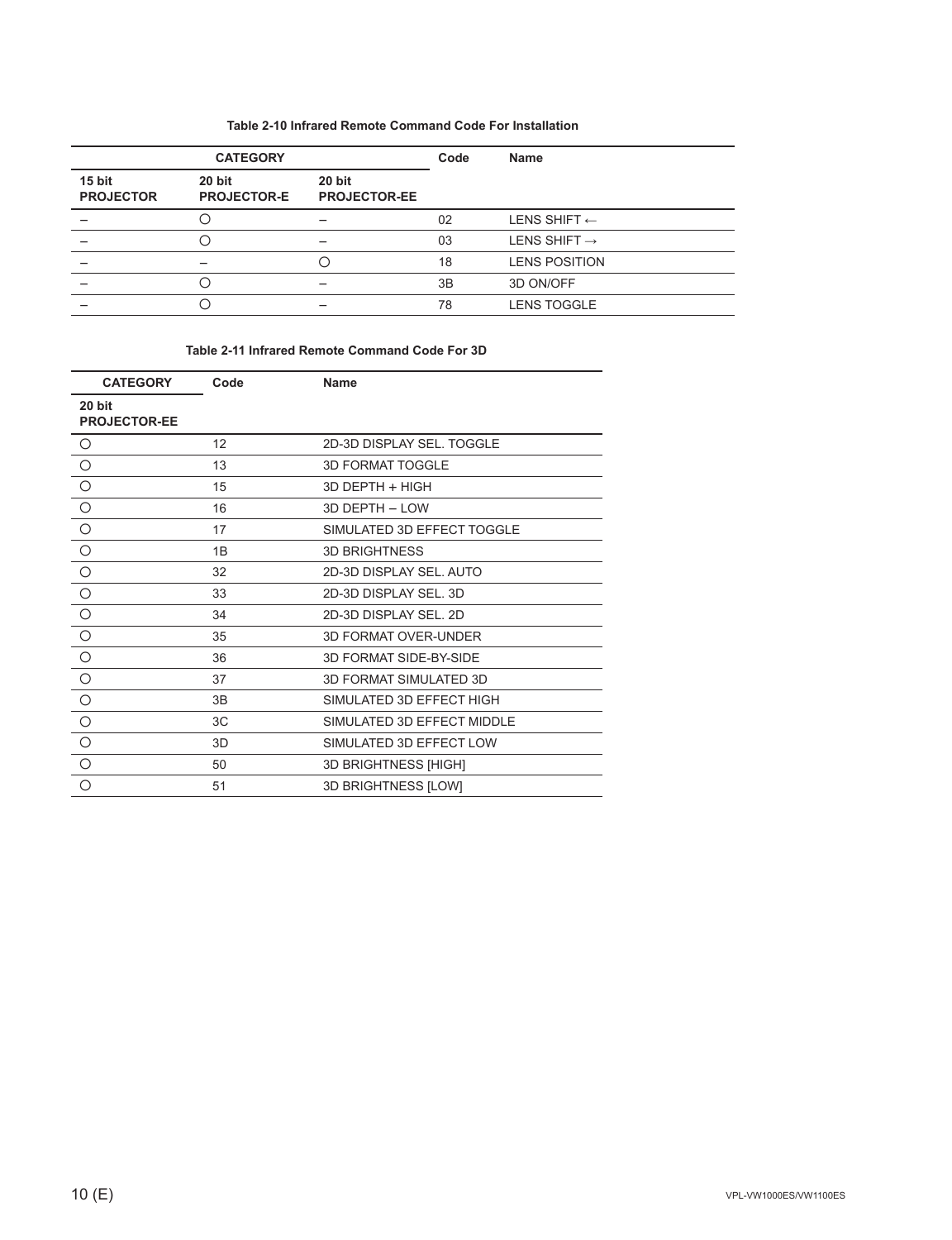#### **Table 2-10 Infrared Remote Command Code For Installation**

| <b>CATEGORY</b>            |                              |                               | Code | <b>Name</b>              |
|----------------------------|------------------------------|-------------------------------|------|--------------------------|
| 15 bit<br><b>PROJECTOR</b> | 20 bit<br><b>PROJECTOR-E</b> | 20 bit<br><b>PROJECTOR-EE</b> |      |                          |
|                            |                              |                               | 02   | LENS SHIFT $\leftarrow$  |
|                            |                              |                               | 03   | LENS SHIFT $\rightarrow$ |
|                            |                              | 〔 〕                           | 18   | <b>LENS POSITION</b>     |
|                            |                              |                               | 3B   | 3D ON/OFF                |
|                            |                              |                               | 78   | <b>LENS TOGGLE</b>       |

#### **Table 2-11 Infrared Remote Command Code For 3D**

| <b>CATEGORY</b>               | Code | <b>Name</b>                 |
|-------------------------------|------|-----------------------------|
| 20 bit<br><b>PROJECTOR-EE</b> |      |                             |
| $\circ$                       | 12   | 2D-3D DISPLAY SEL. TOGGLE   |
| $\bigcirc$                    | 13   | <b>3D FORMAT TOGGLE</b>     |
| $\circ$                       | 15   | 3D DEPTH + HIGH             |
| $\bigcirc$                    | 16   | 3D DEPTH - LOW              |
| $\bigcirc$                    | 17   | SIMULATED 3D EFFECT TOGGLE  |
| $\circ$                       | 1B   | <b>3D BRIGHTNESS</b>        |
| $\circ$                       | 32   | 2D-3D DISPLAY SEL. AUTO     |
| $\bigcirc$                    | 33   | 2D-3D DISPLAY SEL, 3D       |
| $\bigcirc$                    | 34   | 2D-3D DISPLAY SEL, 2D       |
| $\overline{\circ}$            | 35   | <b>3D FORMAT OVER-UNDER</b> |
| $\circ$                       | 36   | 3D FORMAT SIDE-BY-SIDE      |
| $\bigcirc$                    | 37   | 3D FORMAT SIMULATED 3D      |
| $\circ$                       | 3B   | SIMULATED 3D EFFECT HIGH    |
| $\circ$                       | 3C   | SIMULATED 3D EFFECT MIDDLE  |
| $\circ$                       | 3D   | SIMULATED 3D EFFECT LOW     |
| $\circ$                       | 50   | 3D BRIGHTNESS [HIGH]        |
| $\circ$                       | 51   | 3D BRIGHTNESS [LOW]         |
|                               |      |                             |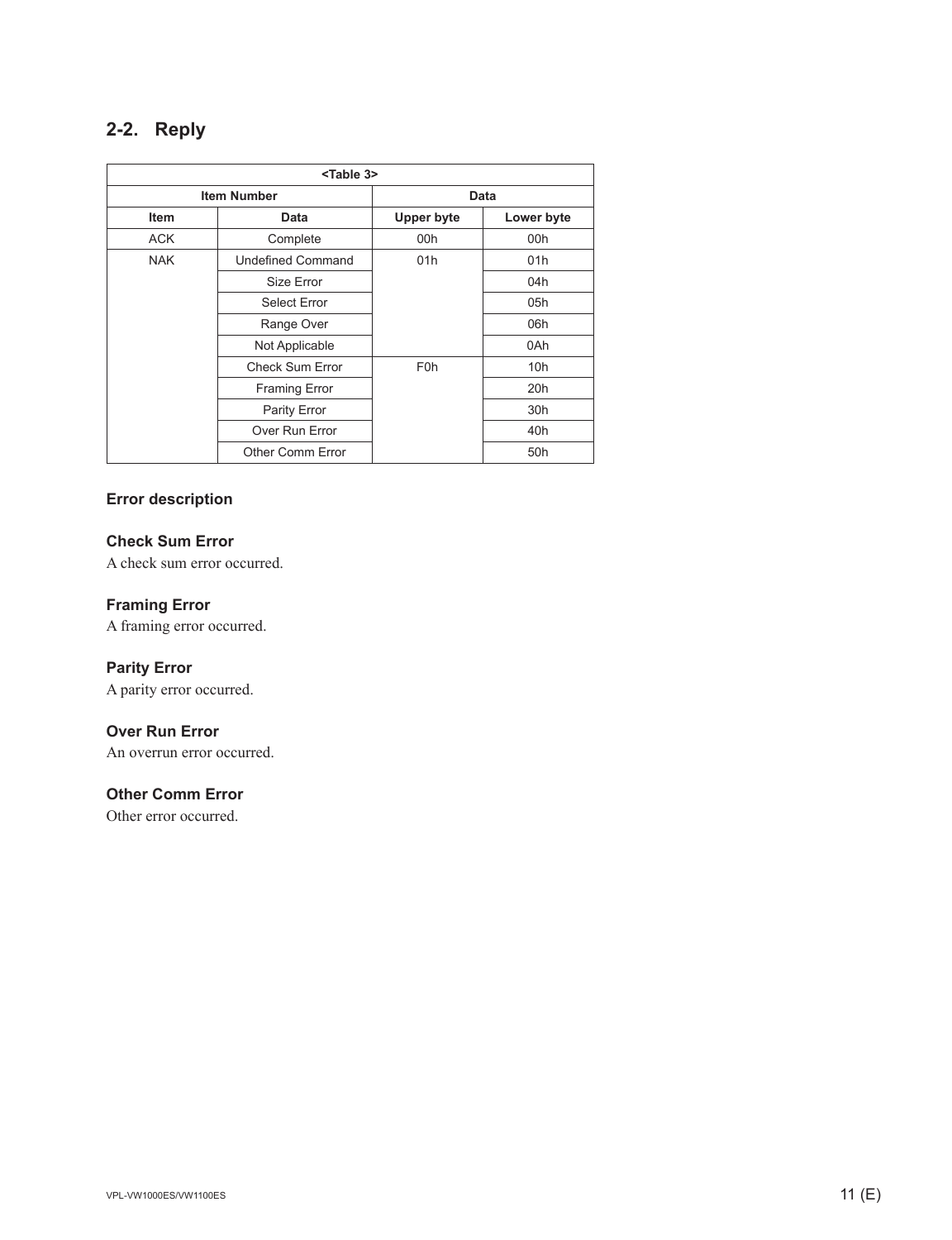### **2-2. Reply**

|             | <table 3=""></table>     |                   |            |  |  |  |
|-------------|--------------------------|-------------------|------------|--|--|--|
|             | <b>Item Number</b>       | <b>Data</b>       |            |  |  |  |
| <b>Item</b> | Data                     | <b>Upper byte</b> | Lower byte |  |  |  |
| <b>ACK</b>  | Complete                 | 00h               | 00h        |  |  |  |
| <b>NAK</b>  | <b>Undefined Command</b> | 01h               | 01h        |  |  |  |
|             | Size Error               |                   | 04h        |  |  |  |
|             | <b>Select Error</b>      |                   | 05h        |  |  |  |
|             | Range Over               |                   | 06h        |  |  |  |
|             | Not Applicable           |                   | 0Ah        |  |  |  |
|             | <b>Check Sum Error</b>   | F <sub>0</sub> h  | 10h        |  |  |  |
|             | <b>Framing Error</b>     |                   | 20h        |  |  |  |
|             | Parity Error             |                   | 30h        |  |  |  |
|             | Over Run Error           |                   | 40h        |  |  |  |
|             | Other Comm Error         |                   | 50h        |  |  |  |

#### **Error description**

#### **Check Sum Error**

A check sum error occurred.

#### **Framing Error**

A framing error occurred.

#### **Parity Error**

A parity error occurred.

#### **Over Run Error**

An overrun error occurred.

#### **Other Comm Error**

Other error occurred.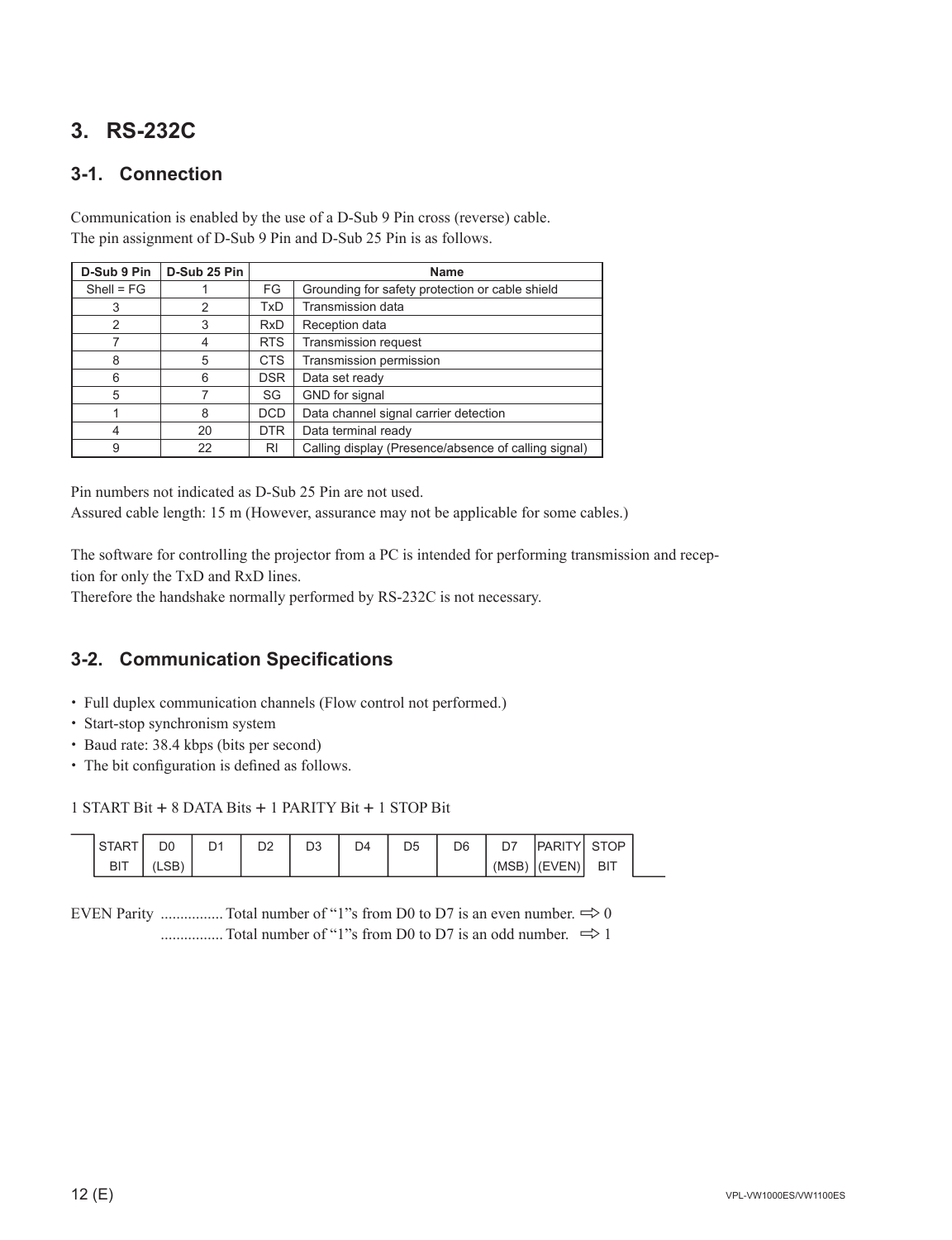### **3. RS-232C**

### **3-1. Connection**

Communication is enabled by the use of a D-Sub 9 Pin cross (reverse) cable. The pin assignment of D-Sub 9 Pin and D-Sub 25 Pin is as follows.

| D-Sub 9 Pin    | D-Sub 25 Pin |            | <b>Name</b>                                          |
|----------------|--------------|------------|------------------------------------------------------|
| $Shell = FG$   |              | FG         | Grounding for safety protection or cable shield      |
| 3              | 2            | <b>TxD</b> | <b>Transmission data</b>                             |
| $\overline{2}$ | 3            | <b>RxD</b> | Reception data                                       |
| 7              | 4            | <b>RTS</b> | <b>Transmission request</b>                          |
| 8              | 5            | <b>CTS</b> | Transmission permission                              |
| 6              | 6            | <b>DSR</b> | Data set ready                                       |
| 5              |              | SG         | GND for signal                                       |
|                | 8            | <b>DCD</b> | Data channel signal carrier detection                |
| 4              | 20           | <b>DTR</b> | Data terminal ready                                  |
| 9              | 22           | RI         | Calling display (Presence/absence of calling signal) |

Pin numbers not indicated as D-Sub 25 Pin are not used. Assured cable length: 15 m (However, assurance may not be applicable for some cables.)

The software for controlling the projector from a PC is intended for performing transmission and reception for only the TxD and RxD lines.

Therefore the handshake normally performed by RS-232C is not necessary.

### **3-2. Communication Specifi cations**

- . Full duplex communication channels (Flow control not performed.)
- . Start-stop synchronism system
- . Baud rate: 38.4 kbps (bits per second)
- The bit configuration is defined as follows.

1 START Bit + 8 DATA Bits + 1 PARITY Bit + 1 STOP Bit

| ت          | D(  | --<br>-- | n o<br>◡ | D4 | D <sub>5</sub> | D <sub>6</sub> | ъ.   |                     | סר       |
|------------|-----|----------|----------|----|----------------|----------------|------|---------------------|----------|
| <b>BIT</b> | ں∪∟ |          |          |    |                |                | (MSB | $\sqrt{2}$<br>(⊢V⊢N | в١<br>-- |

EVEN Parity .................. Total number of "1"s from D0 to D7 is an even number.  $\Rightarrow 0$ ................ Total number of "1"s from D0 to D7 is an odd number. 8 1

 $\overline{a}$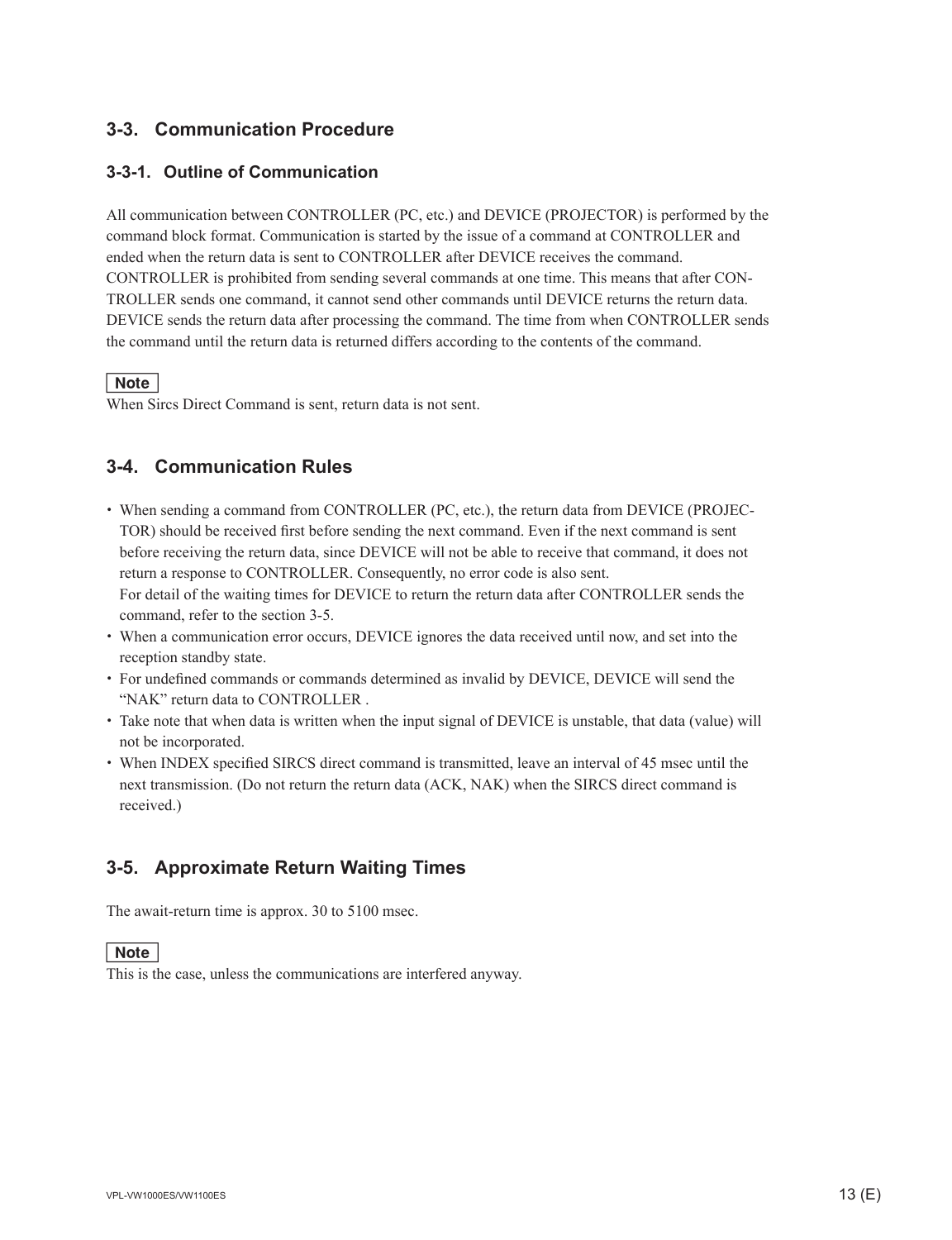#### **3-3. Communication Procedure**

#### **3-3-1. Outline of Communication**

All communication between CONTROLLER (PC, etc.) and DEVICE (PROJECTOR) is performed by the command block format. Communication is started by the issue of a command at CONTROLLER and ended when the return data is sent to CONTROLLER after DEVICE receives the command. CONTROLLER is prohibited from sending several commands at one time. This means that after CON-TROLLER sends one command, it cannot send other commands until DEVICE returns the return data. DEVICE sends the return data after processing the command. The time from when CONTROLLER sends the command until the return data is returned differs according to the contents of the command.

#### $\vert$  Note  $\vert$

When Sircs Direct Command is sent, return data is not sent.

### **3-4. Communication Rules**

- . When sending a command from CONTROLLER (PC, etc.), the return data from DEVICE (PROJEC-TOR) should be received first before sending the next command. Even if the next command is sent before receiving the return data, since DEVICE will not be able to receive that command, it does not return a response to CONTROLLER. Consequently, no error code is also sent. For detail of the waiting times for DEVICE to return the return data after CONTROLLER sends the command, refer to the section 3-5.
- . When a communication error occurs, DEVICE ignores the data received until now, and set into the reception standby state.
- $\cdot$  For undefined commands or commands determined as invalid by DEVICE, DEVICE will send the "NAK" return data to CONTROLLER .
- . Take note that when data is written when the input signal of DEVICE is unstable, that data (value) will not be incorporated.
- When INDEX specified SIRCS direct command is transmitted, leave an interval of 45 msec until the next transmission. (Do not return the return data (ACK, NAK) when the SIRCS direct command is received.)

#### **3-5. Approximate Return Waiting Times**

The await-return time is approx. 30 to 5100 msec.

#### $\vert$  Note  $\vert$

This is the case, unless the communications are interfered anyway.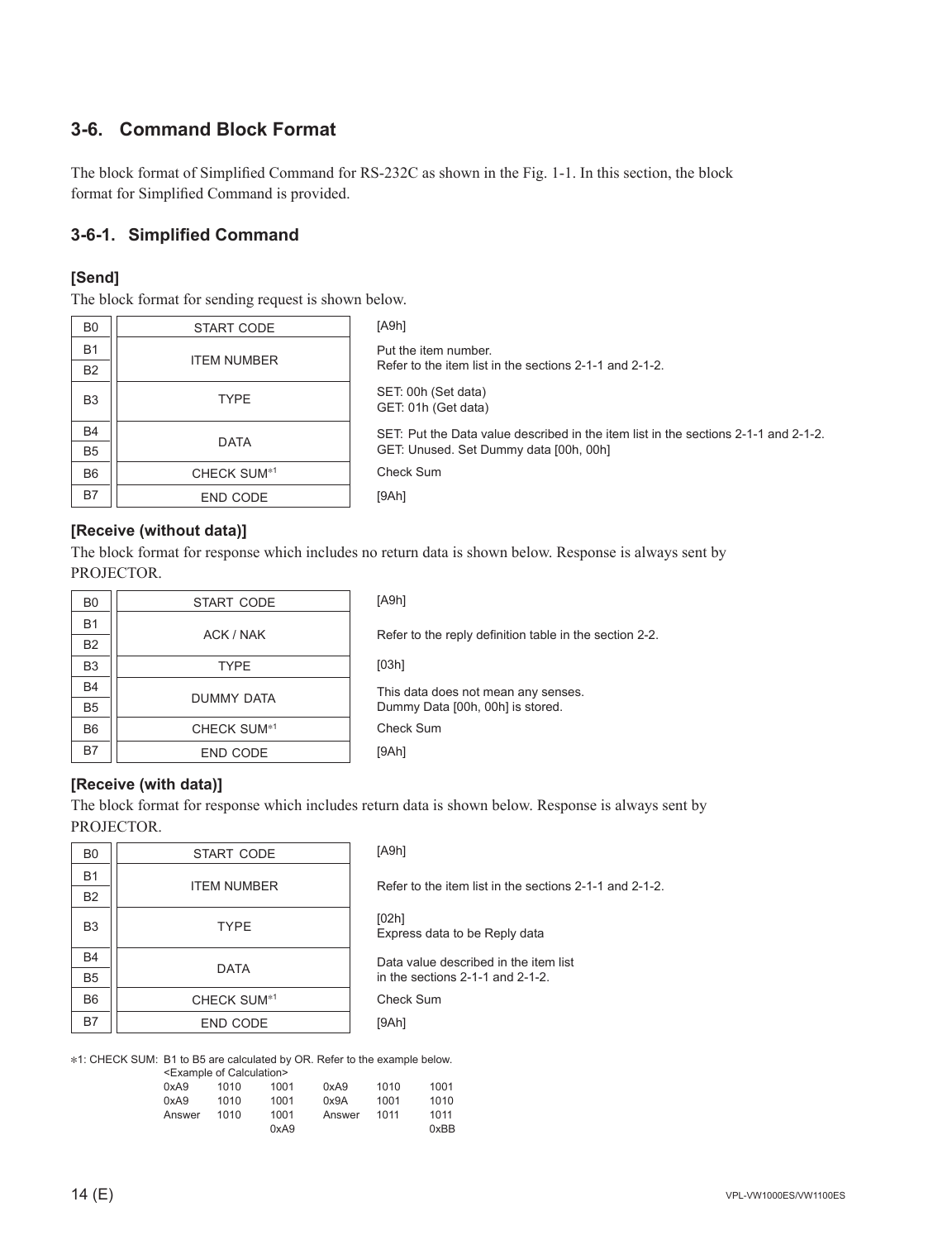### **3-6. Command Block Format**

The block format of Simplified Command for RS-232C as shown in the Fig. 1-1. In this section, the block format for Simplified Command is provided.

#### **3-6-1. Simplifi ed Command**

#### **[Send]**

The block format for sending request is shown below.

| B <sub>0</sub> | START CODE         | [ABh]                                                                               |
|----------------|--------------------|-------------------------------------------------------------------------------------|
| <b>B1</b>      | <b>ITEM NUMBER</b> | Put the item number.                                                                |
| <b>B2</b>      |                    | Refer to the item list in the sections 2-1-1 and 2-1-2.                             |
| B <sub>3</sub> | <b>TYPE</b>        | SET: 00h (Set data)<br>GET: 01h (Get data)                                          |
| <b>B4</b>      | <b>DATA</b>        | SET: Put the Data value described in the item list in the sections 2-1-1 and 2-1-2. |
| B <sub>5</sub> |                    | GET: Unused. Set Dummy data [00h, 00h]                                              |
| B <sub>6</sub> | <b>CHECK SUM*1</b> | Check Sum                                                                           |
| <b>B7</b>      | END CODE           | [9Ah]                                                                               |

#### **[Receive (without data)]**

The block format for response which includes no return data is shown below. Response is always sent by PROJECTOR.

| B <sub>0</sub> | START CODE              |
|----------------|-------------------------|
| <b>B1</b>      | ACK / NAK               |
| <b>B2</b>      |                         |
| B <sub>3</sub> | <b>TYPE</b>             |
| <b>B4</b>      |                         |
| <b>B5</b>      | DUMMY DATA              |
| B <sub>6</sub> | CHECK SUM <sup>*1</sup> |
| B7             | <b>END CODE</b>         |

[A9h] Refer to the reply definition table in the section 2-2. [03h] This data does not mean any senses. Dummy Data [00h, 00h] is stored. Check Sum [9Ah]

#### **[Receive (with data)]**

The block format for response which includes return data is shown below. Response is always sent by PROJECTOR.

| B <sub>0</sub> | START CODE              |
|----------------|-------------------------|
| <b>B1</b>      | <b>ITEM NUMBER</b>      |
| <b>B2</b>      |                         |
| B <sub>3</sub> | <b>TYPE</b>             |
| <b>B4</b>      | <b>DATA</b>             |
| B <sub>5</sub> |                         |
| B <sub>6</sub> | CHECK SUM <sup>*1</sup> |
| <b>B7</b>      | <b>END CODE</b>         |

Check Sum [9Ah] [A9h] Refer to the item list in the sections 2-1-1 and 2-1-2. [02h] Express data to be Reply data Data value described in the item list in the sections 2-1-1 and 2-1-2.

\*1: CHECK SUM: B1 to B5 are calculated by OR. Refer to the example below.

|        | <example calculation="" of=""></example> |      |        |      |      |
|--------|------------------------------------------|------|--------|------|------|
| 0xA9   | 1010                                     | 1001 | 0xA9   | 1010 | 1001 |
| 0xA9   | 1010                                     | 1001 | 0x9A   | 1001 | 1010 |
| Answer | 1010                                     | 1001 | Answer | 1011 | 1011 |
|        |                                          | 0xA9 |        |      | 0xBB |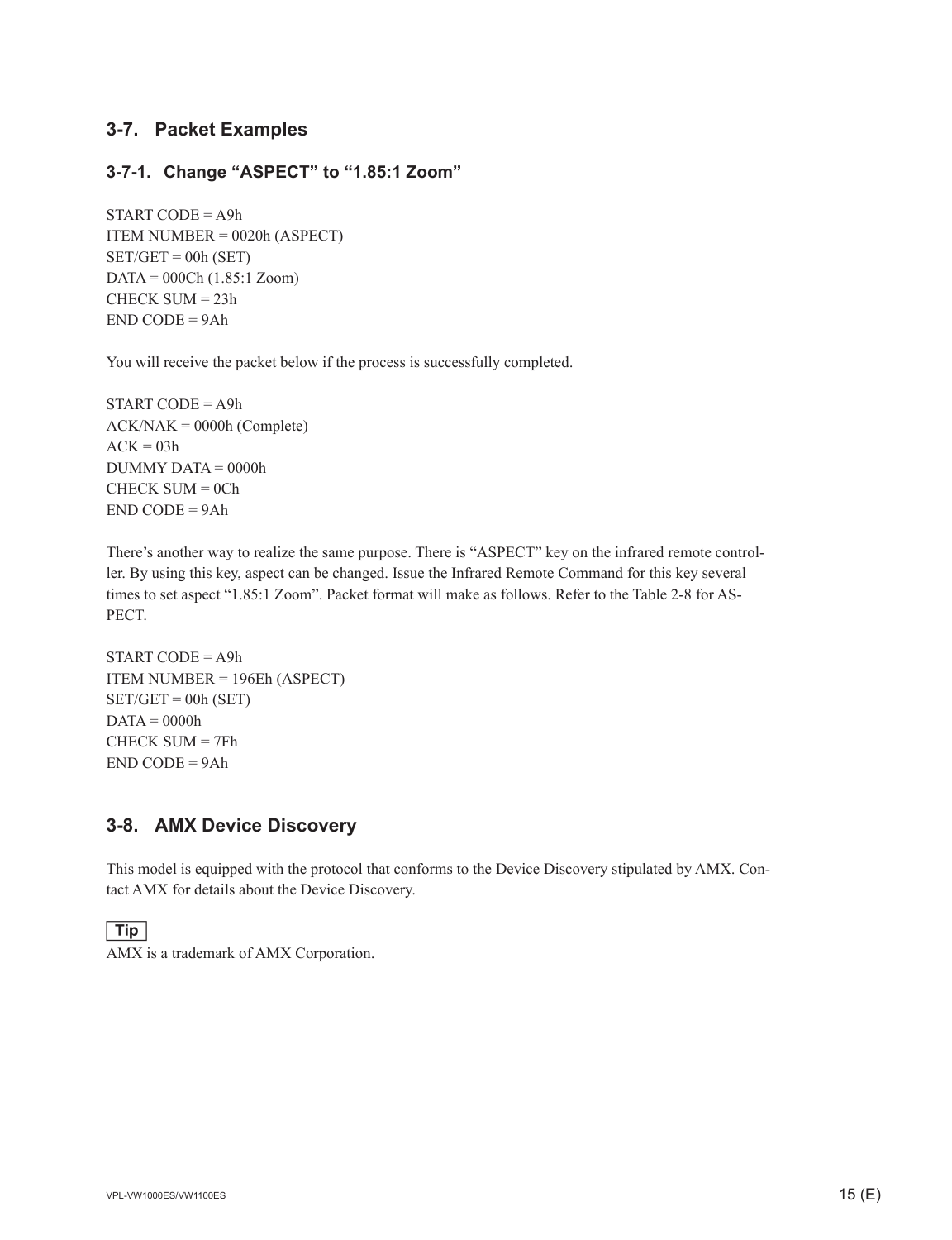#### **3-7. Packet Examples**

#### **3-7-1. Change "ASPECT" to "1.85:1 Zoom"**

 $START CODE = A9h$ ITEM NUMBER = 0020h (ASPECT)  $SET/GET = 00h (SET)$ DATA = 000Ch (1.85:1 Zoom) CHECK SUM = 23h  $END$  CODE = 9Ah

You will receive the packet below if the process is successfully completed.

START CODE = A9h  $ACK/NAK = 0000h (Complete)$  $ACK = 03h$ DUMMY DATA = 0000h  $CHECK$  SUM =  $0<sup>Ch</sup>$ END CODE = 9Ah

There's another way to realize the same purpose. There is "ASPECT" key on the infrared remote controller. By using this key, aspect can be changed. Issue the Infrared Remote Command for this key several times to set aspect "1.85:1 Zoom". Packet format will make as follows. Refer to the Table 2-8 for AS-PECT.

 $START CODE = A9h$ ITEM NUMBER = 196Eh (ASPECT)  $SET/GET = 00h (SET)$  $DATA = 0000h$ CHECK SUM = 7Fh END CODE = 9Ah

#### **3-8. AMX Device Discovery**

This model is equipped with the protocol that conforms to the Device Discovery stipulated by AMX. Contact AMX for details about the Device Discovery.

#### $\boxed{\text{Tip}}$

AMX is a trademark of AMX Corporation.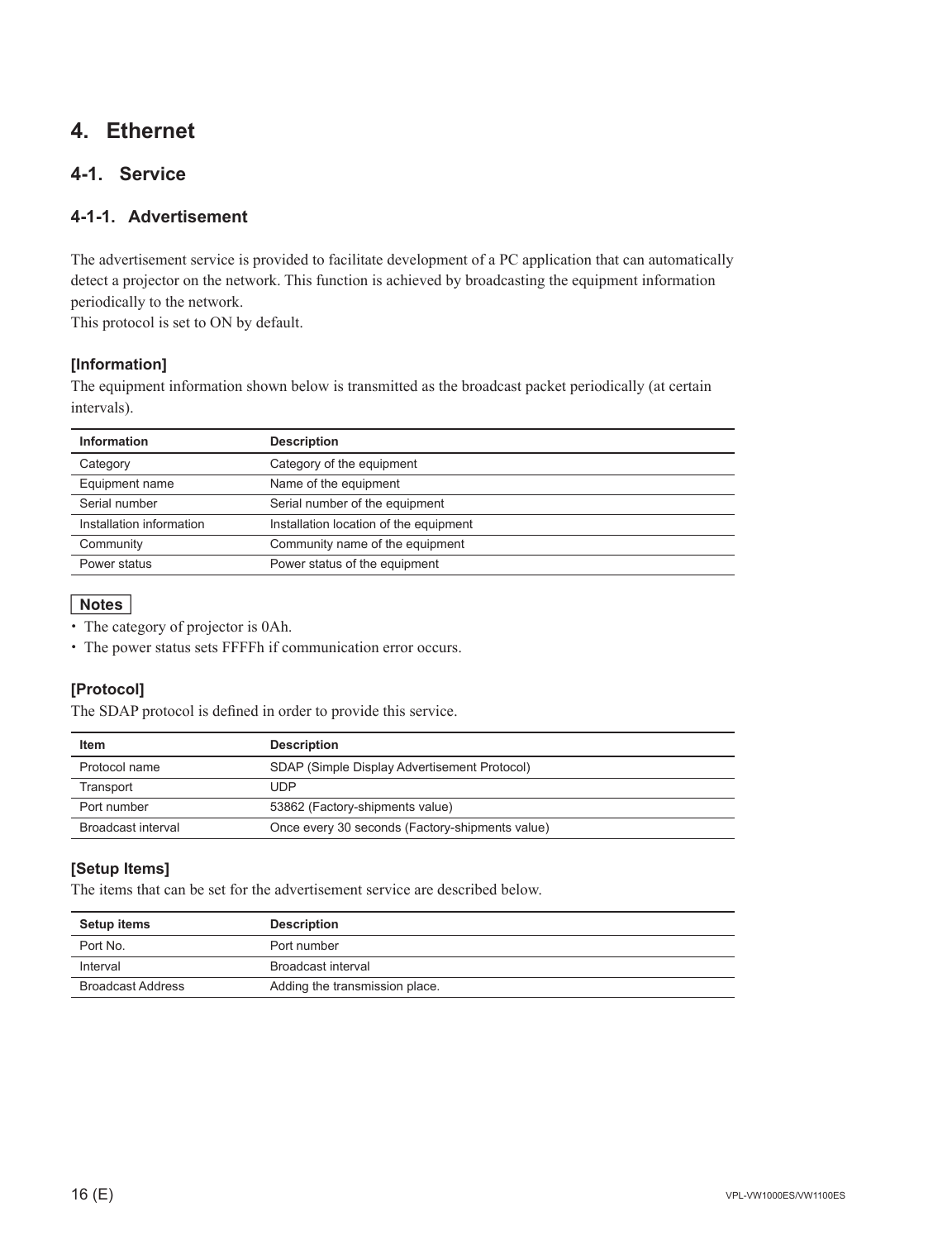### **4. Ethernet**

#### **4-1. Service**

#### **4-1-1. Advertisement**

The advertisement service is provided to facilitate development of a PC application that can automatically detect a projector on the network. This function is achieved by broadcasting the equipment information periodically to the network.

This protocol is set to ON by default.

#### **[Information]**

The equipment information shown below is transmitted as the broadcast packet periodically (at certain intervals).

| <b>Information</b>       | <b>Description</b>                     |
|--------------------------|----------------------------------------|
| Category                 | Category of the equipment              |
| Equipment name           | Name of the equipment                  |
| Serial number            | Serial number of the equipment         |
| Installation information | Installation location of the equipment |
| Community                | Community name of the equipment        |
| Power status             | Power status of the equipment          |

**Notes**<br>• The category of projector is 0Ah.

. The power status sets FFFFh if communication error occurs.

#### **[Protocol]**

The SDAP protocol is defined in order to provide this service.

| Item               | <b>Description</b>                              |
|--------------------|-------------------------------------------------|
| Protocol name      | SDAP (Simple Display Advertisement Protocol)    |
| Transport          | UDP                                             |
| Port number        | 53862 (Factory-shipments value)                 |
| Broadcast interval | Once every 30 seconds (Factory-shipments value) |

#### **[Setup Items]**

The items that can be set for the advertisement service are described below.

| <b>Setup items</b>       | <b>Description</b>             |
|--------------------------|--------------------------------|
| Port No.                 | Port number                    |
| Interval                 | Broadcast interval             |
| <b>Broadcast Address</b> | Adding the transmission place. |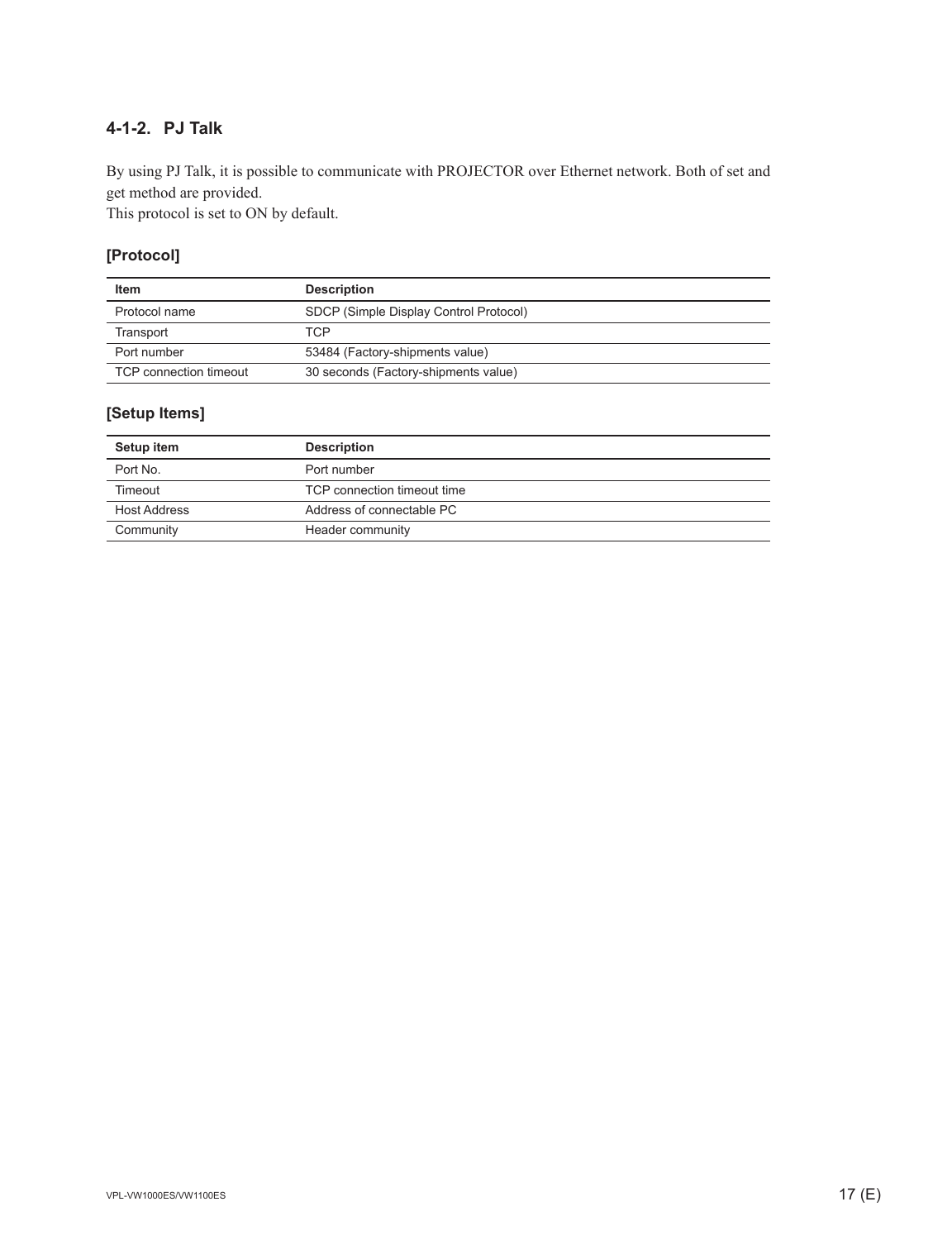### **4-1-2. PJ Talk**

By using PJ Talk, it is possible to communicate with PROJECTOR over Ethernet network. Both of set and get method are provided.

This protocol is set to ON by default.

#### **[Protocol]**

| Item                   | <b>Description</b>                     |
|------------------------|----------------------------------------|
| Protocol name          | SDCP (Simple Display Control Protocol) |
| Transport              | TCP                                    |
| Port number            | 53484 (Factory-shipments value)        |
| TCP connection timeout | 30 seconds (Factory-shipments value)   |

#### **[Setup Items]**

| Setup item          | <b>Description</b>          |
|---------------------|-----------------------------|
| Port No.            | Port number                 |
| Timeout             | TCP connection timeout time |
| <b>Host Address</b> | Address of connectable PC   |
| Community           | Header community            |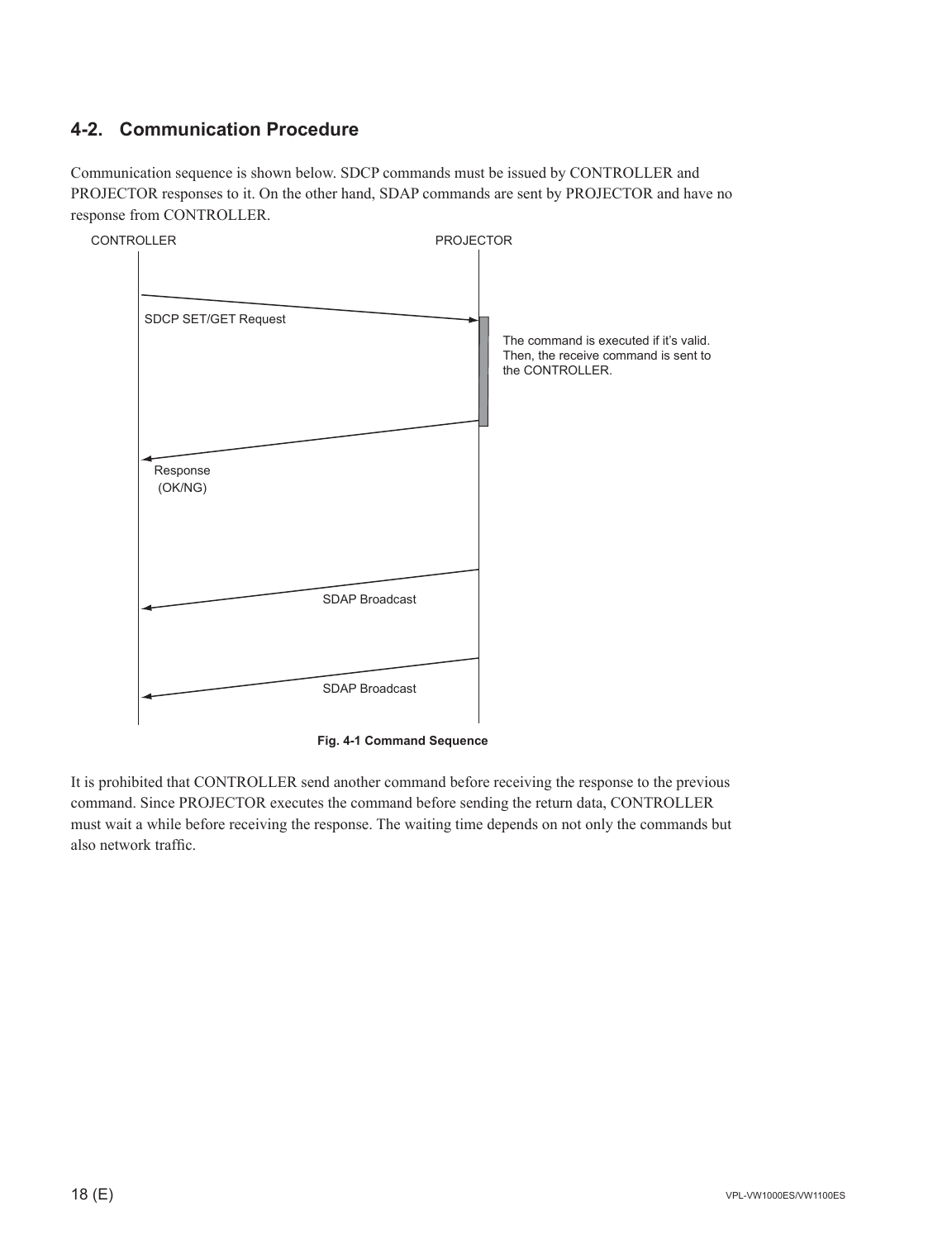### **4-2. Communication Procedure**

Communication sequence is shown below. SDCP commands must be issued by CONTROLLER and PROJECTOR responses to it. On the other hand, SDAP commands are sent by PROJECTOR and have no response from CONTROLLER.



**Fig. 4-1 Command Sequence**

It is prohibited that CONTROLLER send another command before receiving the response to the previous command. Since PROJECTOR executes the command before sending the return data, CONTROLLER must wait a while before receiving the response. The waiting time depends on not only the commands but also network traffic.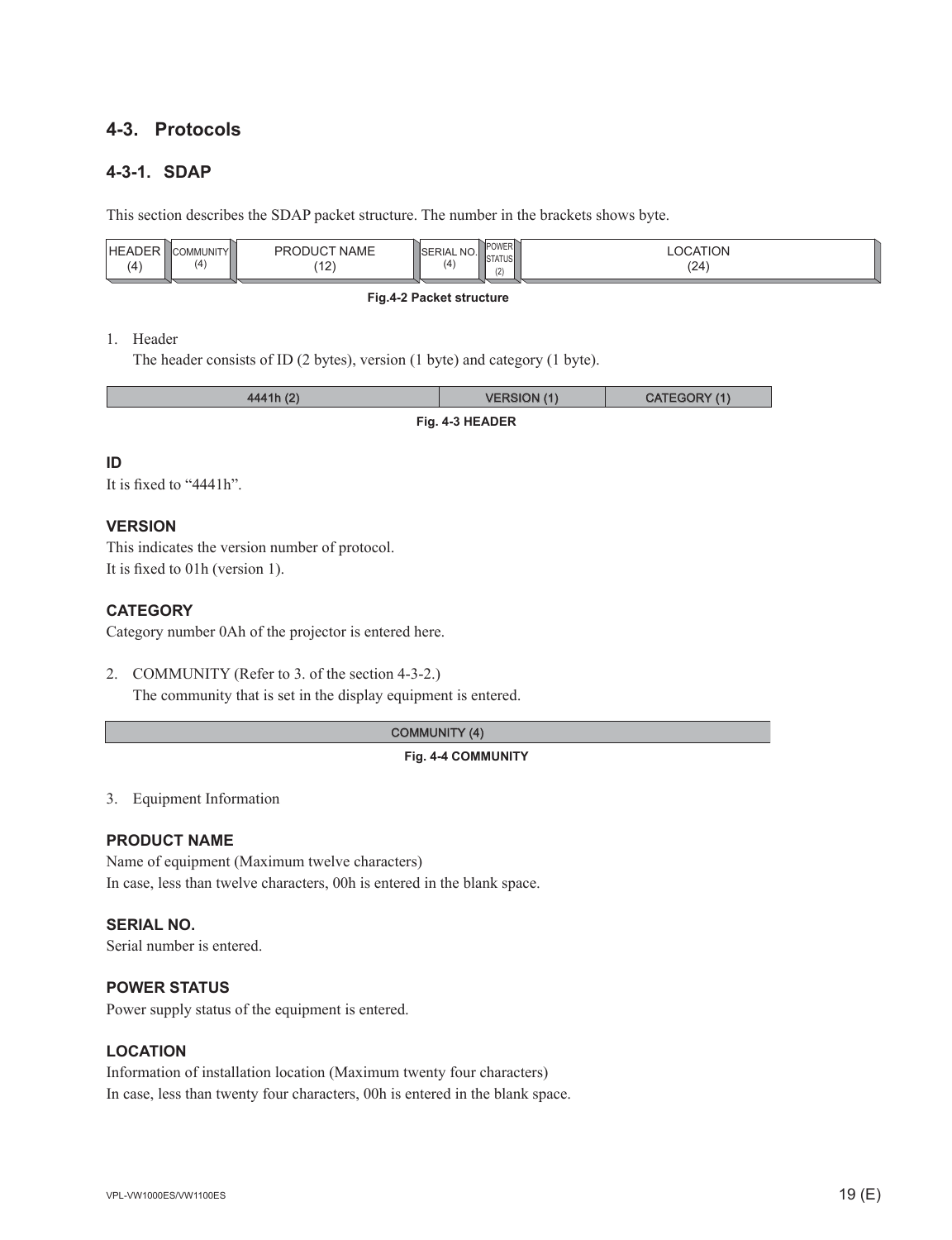#### **4-3. Protocols**

#### **4-3-1. SDAP**

This section describes the SDAP packet structure. The number in the brackets shows byte.

| <b>IHEADEF</b><br>11T/1<br><br>(4)<br>$\overline{a}$<br>$\Lambda$ | <b>NAME</b><br>)DI ICT<br>DD<br>$\overline{a}$<br>$-$ | InrightF<br>™UWER⊫.<br><sup>1</sup> SERIAL NO.<br><b>STATUS</b><br>$\cdots$<br>14<br>(2) | TION.<br>(24) |  |
|-------------------------------------------------------------------|-------------------------------------------------------|------------------------------------------------------------------------------------------|---------------|--|
|                                                                   |                                                       |                                                                                          |               |  |

#### **Fig.4-2 Packet structure**

#### 1. Header

The header consists of ID (2 bytes), version (1 byte) and category (1 byte).

| 4441h (2)       | <b>VERSION (1)</b> | CATEGORY (1) |  |  |
|-----------------|--------------------|--------------|--|--|
| Fig. 4-3 HEADER |                    |              |  |  |

#### **ID**

It is fixed to  $"4441h"$ .

#### **VERSION**

This indicates the version number of protocol. It is fixed to 01h (version 1).

#### **CATEGORY**

Category number 0Ah of the projector is entered here.

2. COMMUNITY (Refer to 3. of the section 4-3-2.) The community that is set in the display equipment is entered.

#### COMMUNITY (4)

#### **Fig. 4-4 COMMUNITY**

3. Equipment Information

#### **PRODUCT NAME**

Name of equipment (Maximum twelve characters) In case, less than twelve characters, 00h is entered in the blank space.

#### **SERIAL NO.**

Serial number is entered.

#### **POWER STATUS**

Power supply status of the equipment is entered.

#### **LOCATION**

Information of installation location (Maximum twenty four characters) In case, less than twenty four characters, 00h is entered in the blank space.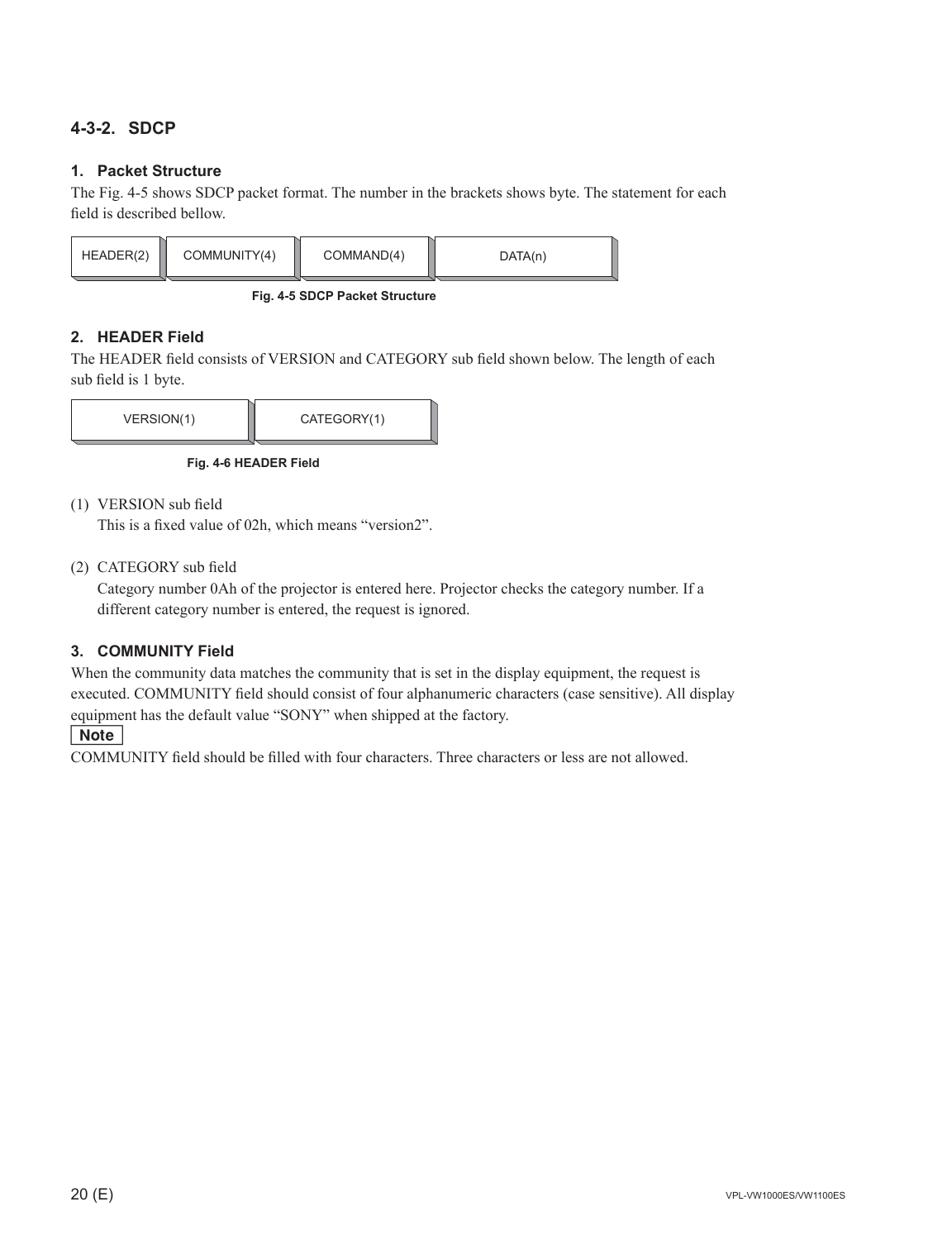#### **4-3-2. SDCP**

#### **1. Packet Structure**

The Fig. 4-5 shows SDCP packet format. The number in the brackets shows byte. The statement for each field is described bellow.



**Fig. 4-5 SDCP Packet Structure**

#### **2. HEADER Field**

The HEADER field consists of VERSION and CATEGORY sub field shown below. The length of each sub field is 1 byte.



**Fig. 4-6 HEADER Field**

(1) VERSION sub field

This is a fixed value of 02h, which means "version2".

(2) CATEGORY sub field

 Category number 0Ah of the projector is entered here. Projector checks the category number. If a different category number is entered, the request is ignored.

#### **3. COMMUNITY Field**

When the community data matches the community that is set in the display equipment, the request is executed. COMMUNITY field should consist of four alphanumeric characters (case sensitive). All display equipment has the default value "SONY" when shipped at the factory.

#### $\vert$  Note  $\vert$

COMMUNITY field should be filled with four characters. Three characters or less are not allowed.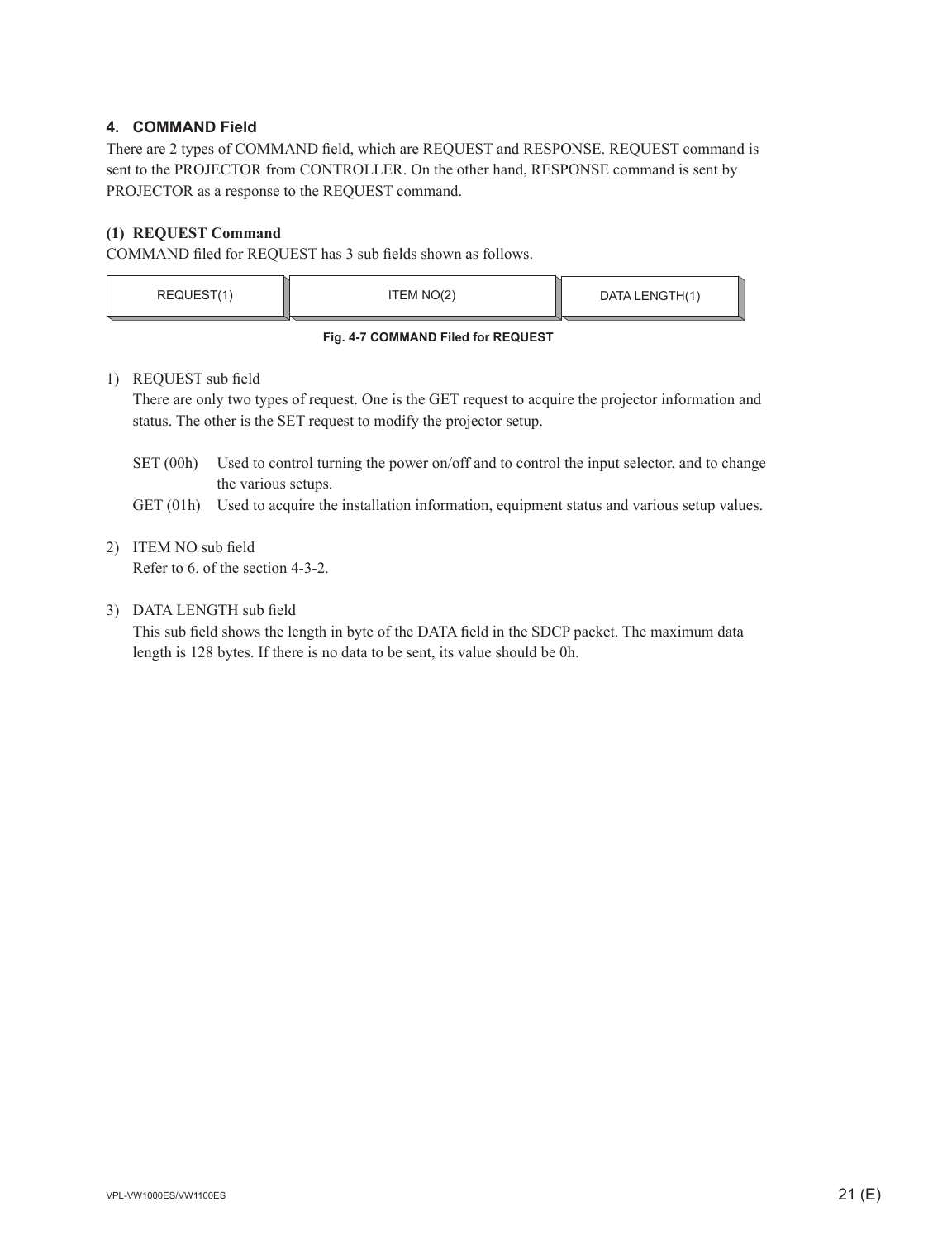#### **4. COMMAND Field**

There are 2 types of COMMAND field, which are REQUEST and RESPONSE. REQUEST command is sent to the PROJECTOR from CONTROLLER. On the other hand, RESPONSE command is sent by PROJECTOR as a response to the REQUEST command.

#### **(1) REQUEST Command**

COMMAND filed for REQUEST has 3 sub fields shown as follows.

| REQUEST(1)                         | ITEM NO(2) | DATA LENGTH(1) |  |  |
|------------------------------------|------------|----------------|--|--|
| Fig. 4-7 COMMAND Filed for REQUEST |            |                |  |  |

#### 1) REQUEST sub field

 There are only two types of request. One is the GET request to acquire the projector information and status. The other is the SET request to modify the projector setup.

- SET (00h) Used to control turning the power on/off and to control the input selector, and to change the various setups.
- GET (01h) Used to acquire the installation information, equipment status and various setup values.

### 2) ITEM NO sub field

Refer to 6. of the section 4-3-2.

#### 3) DATA LENGTH sub field

This sub field shows the length in byte of the DATA field in the SDCP packet. The maximum data length is 128 bytes. If there is no data to be sent, its value should be 0h.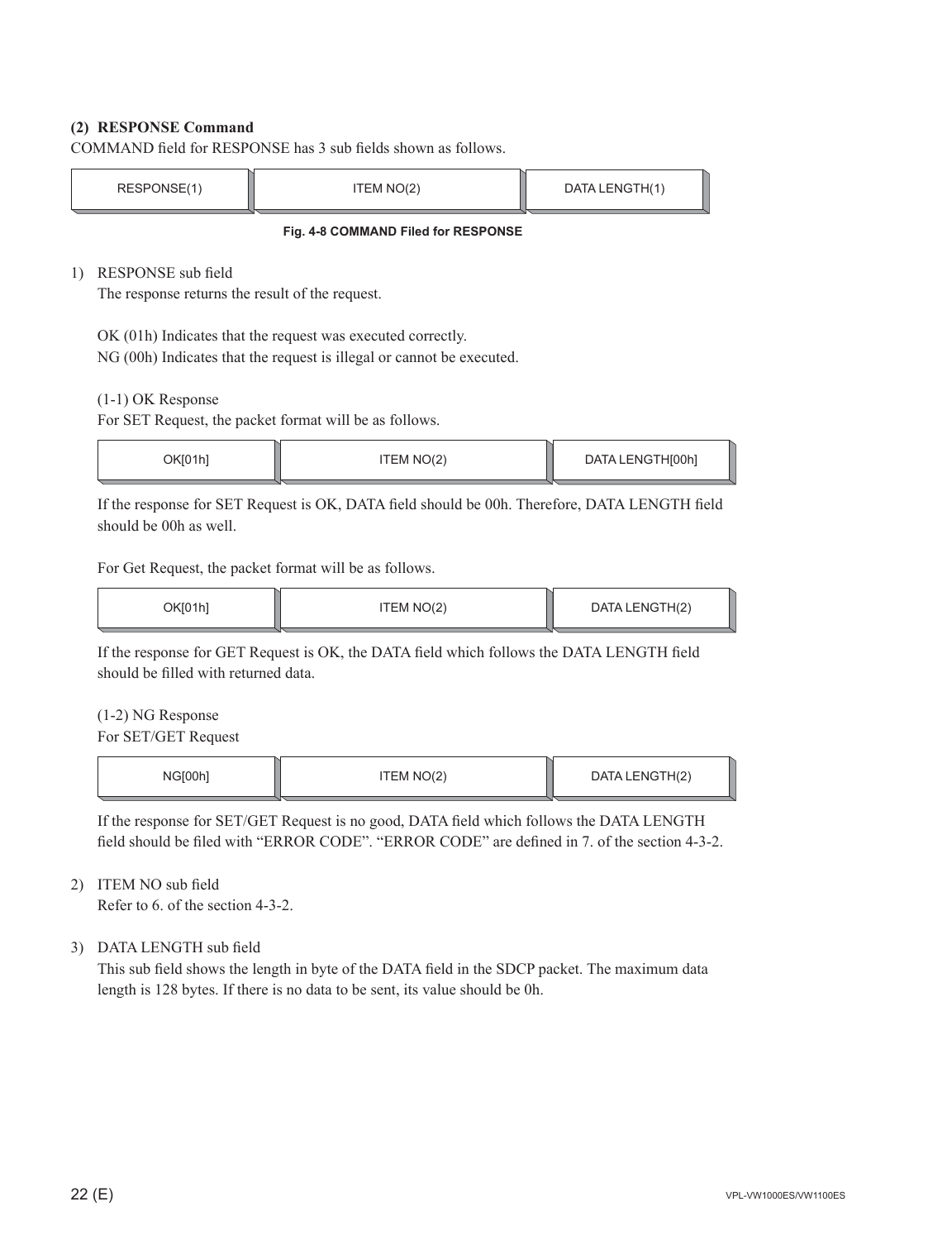#### **(2) RESPONSE Command**

COMMAND field for RESPONSE has 3 sub fields shown as follows.

| RESPONSE(1) | TEM NO(2) | DATA LENGTH(1) |
|-------------|-----------|----------------|
|             |           |                |

**Fig. 4-8 COMMAND Filed for RESPONSE**

1) RESPONSE sub field

The response returns the result of the request.

OK (01h) Indicates that the request was executed correctly.

NG (00h) Indicates that the request is illegal or cannot be executed.

(1-1) OK Response

For SET Request, the packet format will be as follows.

| ገKበ1h1 | TEM NO(2) | DATA LENGTH[00h] |
|--------|-----------|------------------|
|        |           |                  |

If the response for SET Request is OK, DATA field should be 00h. Therefore, DATA LENGTH field should be 00h as well.

For Get Request, the packet format will be as follows.

| OK[01h] | ITEM NO(2) | DATA LENGTH(2) |  |
|---------|------------|----------------|--|
|         |            |                |  |

If the response for GET Request is OK, the DATA field which follows the DATA LENGTH field should be filled with returned data.

(1-2) NG Response

For SET/GET Request

| 2100h | TEM NO(2) | DATA LENGTH(2) |
|-------|-----------|----------------|
|       |           |                |

If the response for SET/GET Request is no good, DATA field which follows the DATA LENGTH field should be filed with "ERROR CODE". "ERROR CODE" are defined in 7. of the section 4-3-2.

#### 2) ITEM NO sub field

Refer to 6. of the section 4-3-2.

#### 3) DATA LENGTH sub field

This sub field shows the length in byte of the DATA field in the SDCP packet. The maximum data length is 128 bytes. If there is no data to be sent, its value should be 0h.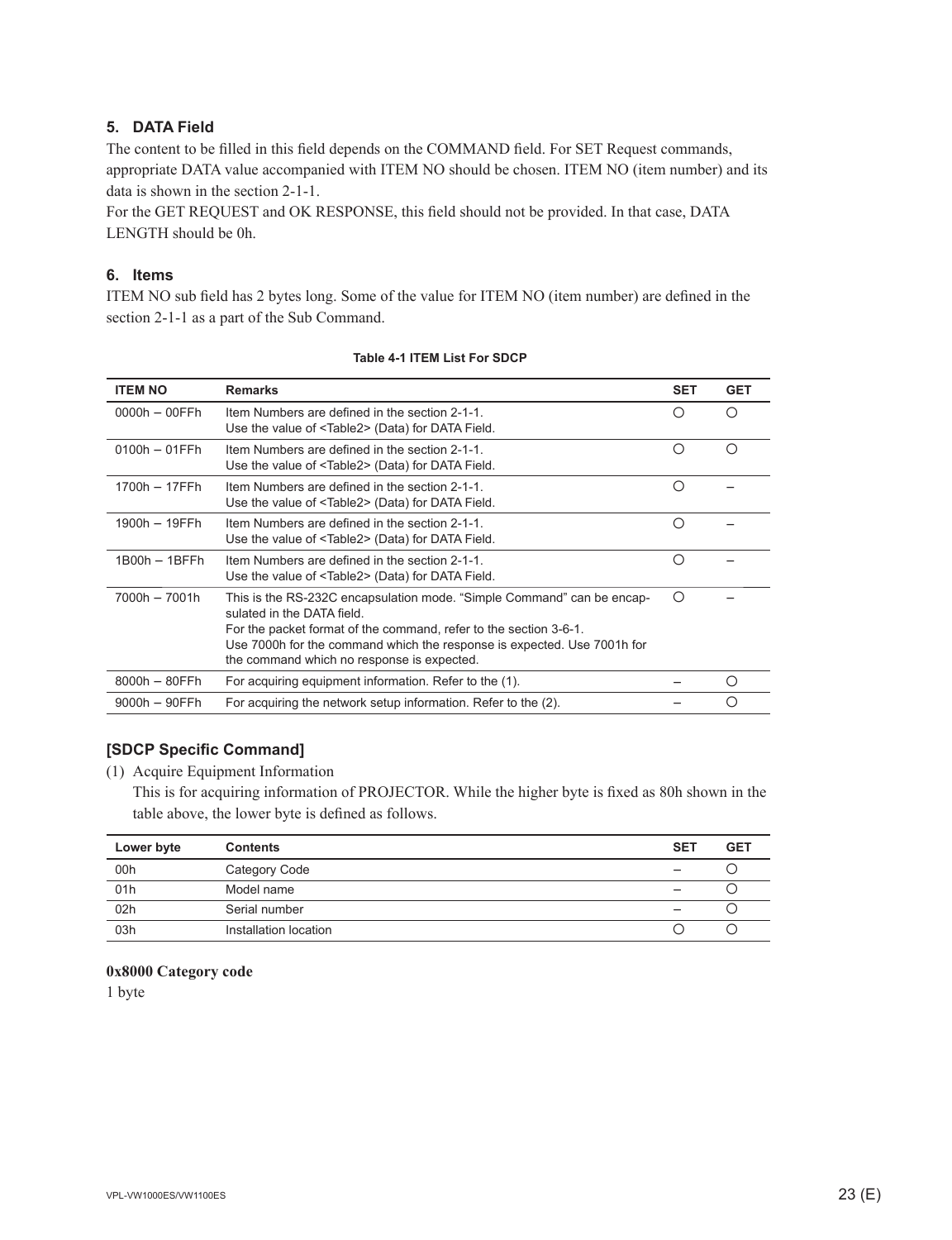#### **5. DATA Field**

The content to be filled in this field depends on the COMMAND field. For SET Request commands, appropriate DATA value accompanied with ITEM NO should be chosen. ITEM NO (item number) and its data is shown in the section 2-1-1.

For the GET REQUEST and OK RESPONSE, this field should not be provided. In that case, DATA LENGTH should be 0h.

#### **6. Items**

ITEM NO sub field has 2 bytes long. Some of the value for ITEM NO (item number) are defined in the section 2-1-1 as a part of the Sub Command.

| <b>ITEM NO</b>   | <b>Remarks</b>                                                                                                                                                                                                                                                                                     | <b>SET</b> | <b>GET</b> |
|------------------|----------------------------------------------------------------------------------------------------------------------------------------------------------------------------------------------------------------------------------------------------------------------------------------------------|------------|------------|
| $0000h - 00FFh$  | Item Numbers are defined in the section 2-1-1.<br>Use the value of <table2> (Data) for DATA Field.</table2>                                                                                                                                                                                        | Ο          | ∩          |
| $0100h - 01FFh$  | Item Numbers are defined in the section 2-1-1.<br>Use the value of <table2> (Data) for DATA Field.</table2>                                                                                                                                                                                        | ∩          | ∩          |
| 1700h - 17FFh    | Item Numbers are defined in the section 2-1-1.<br>Use the value of <table2> (Data) for DATA Field.</table2>                                                                                                                                                                                        | Ω          |            |
| 1900h - 19FFh    | Item Numbers are defined in the section 2-1-1.<br>Use the value of <table2> (Data) for DATA Field.</table2>                                                                                                                                                                                        | ∩          |            |
| $1B00h - 1BFFh$  | Item Numbers are defined in the section 2-1-1.<br>Use the value of <table2> (Data) for DATA Field.</table2>                                                                                                                                                                                        | ∩          |            |
| 7000h - 7001h    | This is the RS-232C encapsulation mode. "Simple Command" can be encap-<br>sulated in the DATA field.<br>For the packet format of the command, refer to the section 3-6-1.<br>Use 7000h for the command which the response is expected. Use 7001h for<br>the command which no response is expected. | ∩          |            |
| $8000h - 80FFh$  | For acquiring equipment information. Refer to the (1).                                                                                                                                                                                                                                             |            | $\bigcap$  |
| $9000h - 90$ FFh | For acquiring the network setup information. Refer to the (2).                                                                                                                                                                                                                                     |            | ∩          |

#### **Table 4-1 ITEM List For SDCP**

#### **[SDCP Specifi c Command]**

(1) Acquire Equipment Information

This is for acquiring information of PROJECTOR. While the higher byte is fixed as 80h shown in the table above, the lower byte is defined as follows.

| Lower byte | <b>Contents</b>       | <b>SET</b> | <b>GET</b> |
|------------|-----------------------|------------|------------|
| 00h        | Category Code         |            |            |
| 01h        | Model name            |            |            |
| 02h        | Serial number         |            |            |
| 03h        | Installation location |            |            |

#### **0x8000 Category code**

1 byte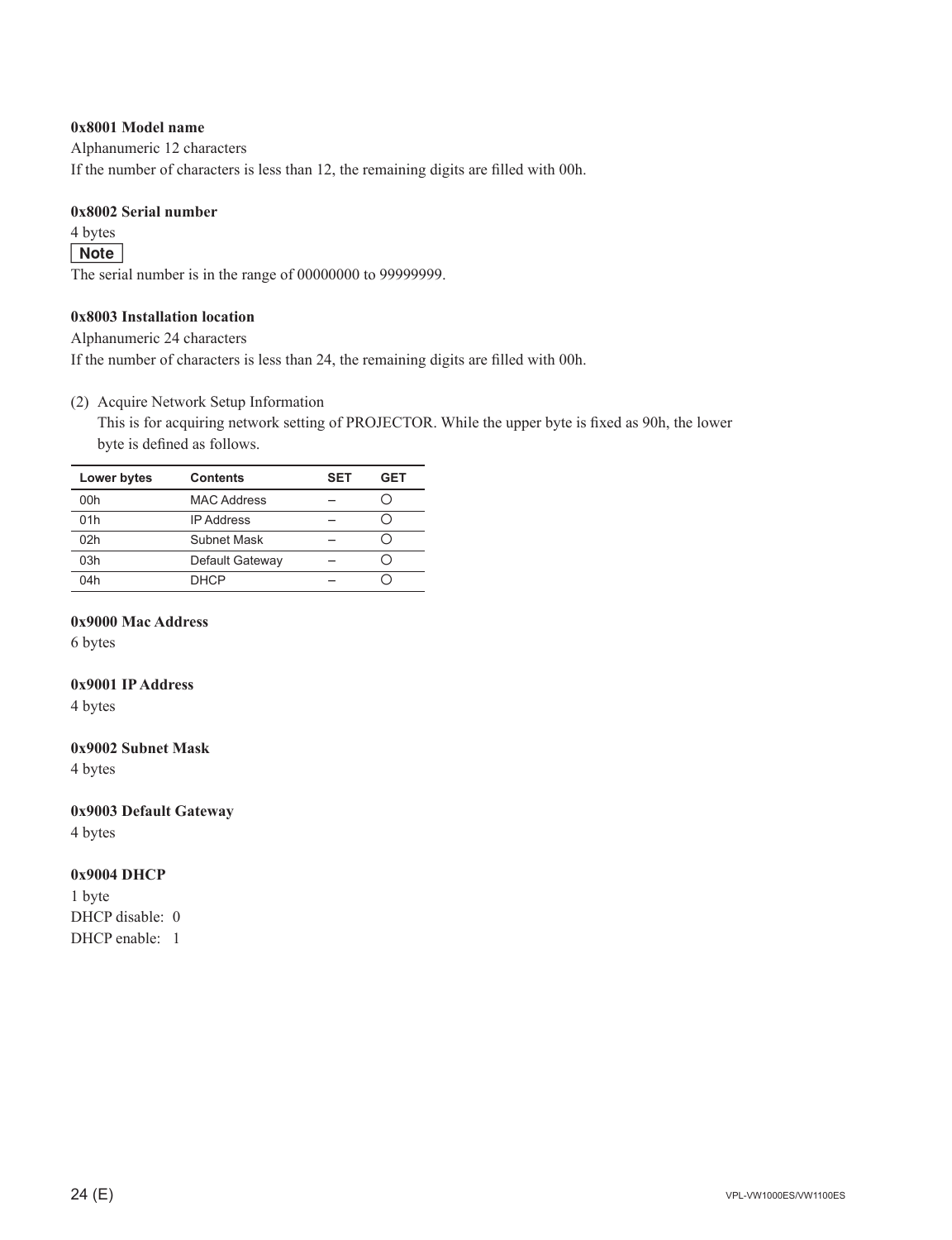#### **0x8001 Model name**

Alphanumeric 12 characters

If the number of characters is less than 12, the remaining digits are filled with 00h.

#### **0x8002 Serial number**

4 bytes

#### Note

The serial number is in the range of 00000000 to 99999999.

#### **0x8003 Installation location**

Alphanumeric 24 characters

If the number of characters is less than 24, the remaining digits are filled with 00h.

#### (2) Acquire Network Setup Information

This is for acquiring network setting of PROJECTOR. While the upper byte is fixed as 90h, the lower byte is defined as follows.

| Lower bytes | <b>Contents</b>    | <b>SET</b> | GET |
|-------------|--------------------|------------|-----|
| 00h         | <b>MAC Address</b> |            |     |
| 01h         | <b>IP Address</b>  |            |     |
| 02h         | Subnet Mask        |            |     |
| 03h         | Default Gateway    |            |     |
| 04h         | <b>DHCP</b>        |            |     |

#### **0x9000 Mac Address**

6 bytes

#### **0x9001 IP Address**

4 bytes

#### **0x9002 Subnet Mask**

4 bytes

#### **0x9003 Default Gateway**

4 bytes

#### **0x9004 DHCP**

1 byte DHCP disable: 0 DHCP enable: 1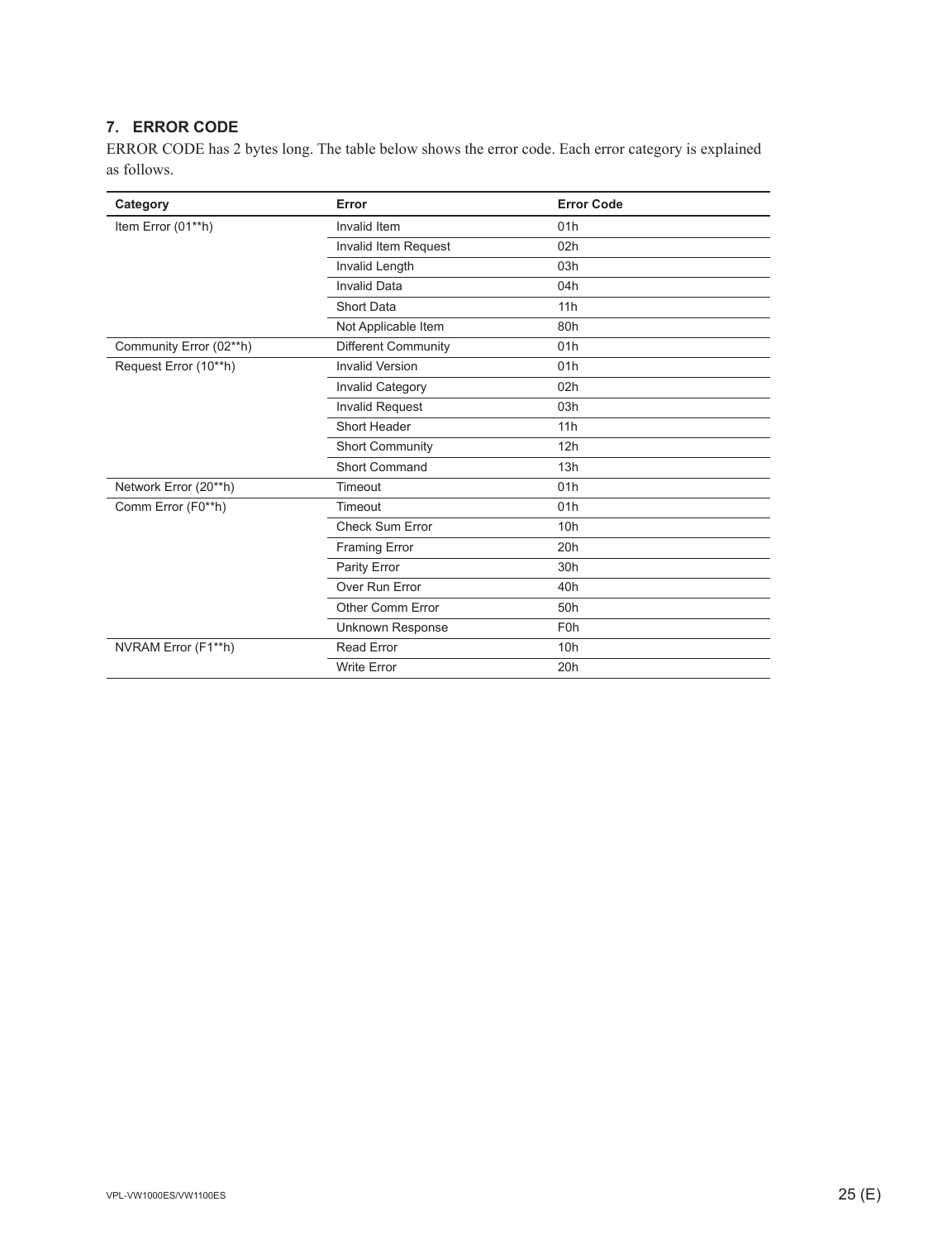### **7. ERROR CODE**

ERROR CODE has 2 bytes long. The table below shows the error code. Each error category is explained as follows.

| Category                | Error                   | <b>Error Code</b> |
|-------------------------|-------------------------|-------------------|
| Item Error (01**h)      | Invalid Item            | 01h               |
|                         | Invalid Item Request    | 02h               |
|                         | Invalid Length          | 03h               |
|                         | <b>Invalid Data</b>     | 04h               |
|                         | <b>Short Data</b>       | 11h               |
|                         | Not Applicable Item     | 80h               |
| Community Error (02**h) | Different Community     | 01h               |
| Request Error (10**h)   | <b>Invalid Version</b>  | 01h               |
|                         | <b>Invalid Category</b> | 02h               |
|                         | <b>Invalid Request</b>  | 03h               |
|                         | Short Header            | 11h               |
|                         | <b>Short Community</b>  | 12h               |
|                         | <b>Short Command</b>    | 13h               |
| Network Error (20**h)   | Timeout                 | 01h               |
| Comm Error (F0**h)      | Timeout                 | 01h               |
|                         | <b>Check Sum Error</b>  | 10h               |
|                         | Framing Error           | 20h               |
|                         | Parity Error            | 30h               |
|                         | Over Run Error          | 40h               |
|                         | Other Comm Error        | 50h               |
|                         | Unknown Response        | F <sub>0</sub> h  |
| NVRAM Error (F1**h)     | <b>Read Error</b>       | 10h               |
|                         | <b>Write Error</b>      | 20h               |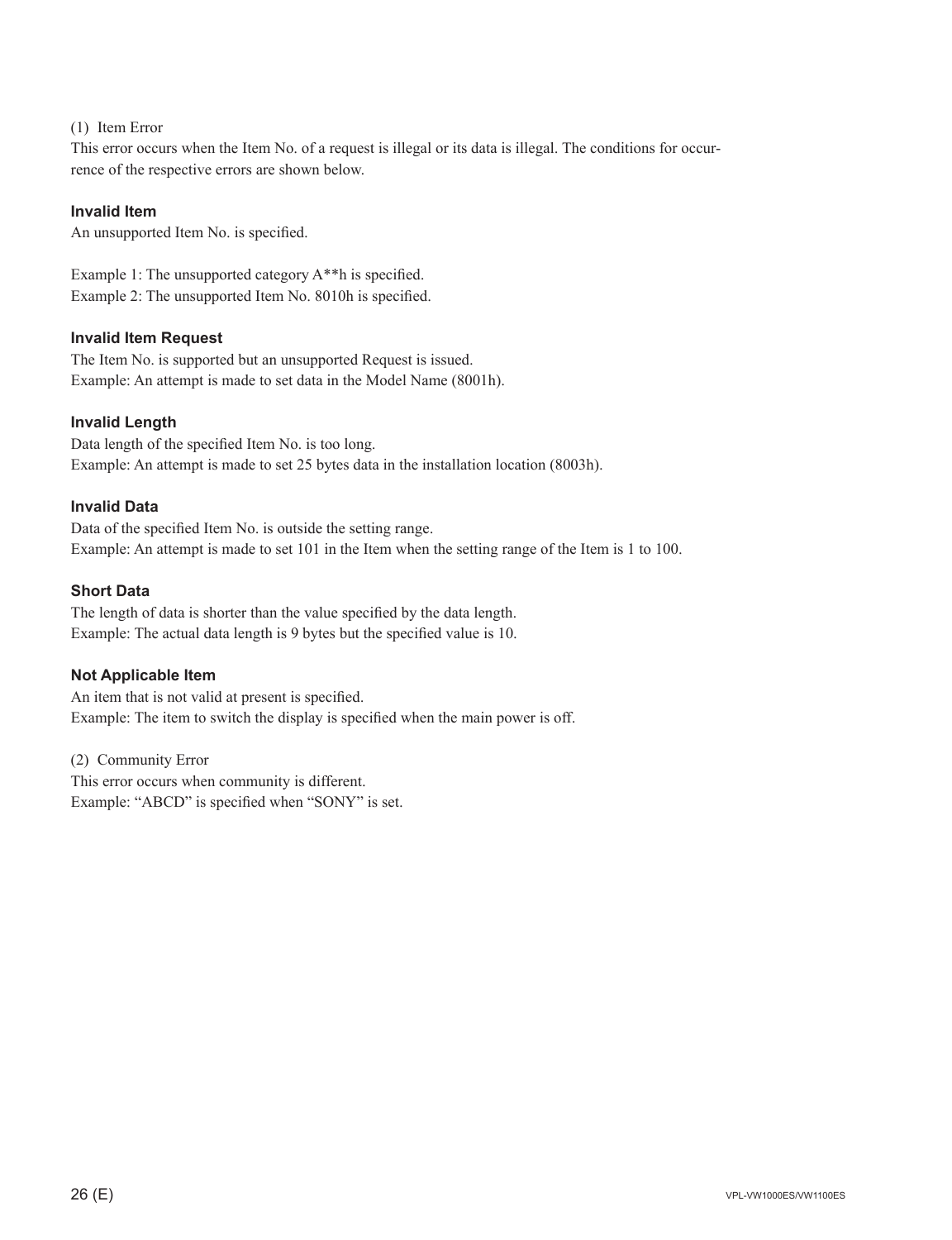#### (1) Item Error

This error occurs when the Item No. of a request is illegal or its data is illegal. The conditions for occurrence of the respective errors are shown below.

#### **Invalid Item**

An unsupported Item No. is specified.

Example 1: The unsupported category  $A^{**}$ h is specified. Example 2: The unsupported Item No. 8010h is specified.

#### **Invalid Item Request**

The Item No. is supported but an unsupported Request is issued. Example: An attempt is made to set data in the Model Name (8001h).

#### **Invalid Length**

Data length of the specified Item No. is too long. Example: An attempt is made to set 25 bytes data in the installation location (8003h).

#### **Invalid Data**

Data of the specified Item No. is outside the setting range. Example: An attempt is made to set 101 in the Item when the setting range of the Item is 1 to 100.

#### **Short Data**

The length of data is shorter than the value specified by the data length. Example: The actual data length is 9 bytes but the specified value is 10.

#### **Not Applicable Item**

An item that is not valid at present is specified. Example: The item to switch the display is specified when the main power is off.

(2) Community Error This error occurs when community is different. Example: "ABCD" is specified when "SONY" is set.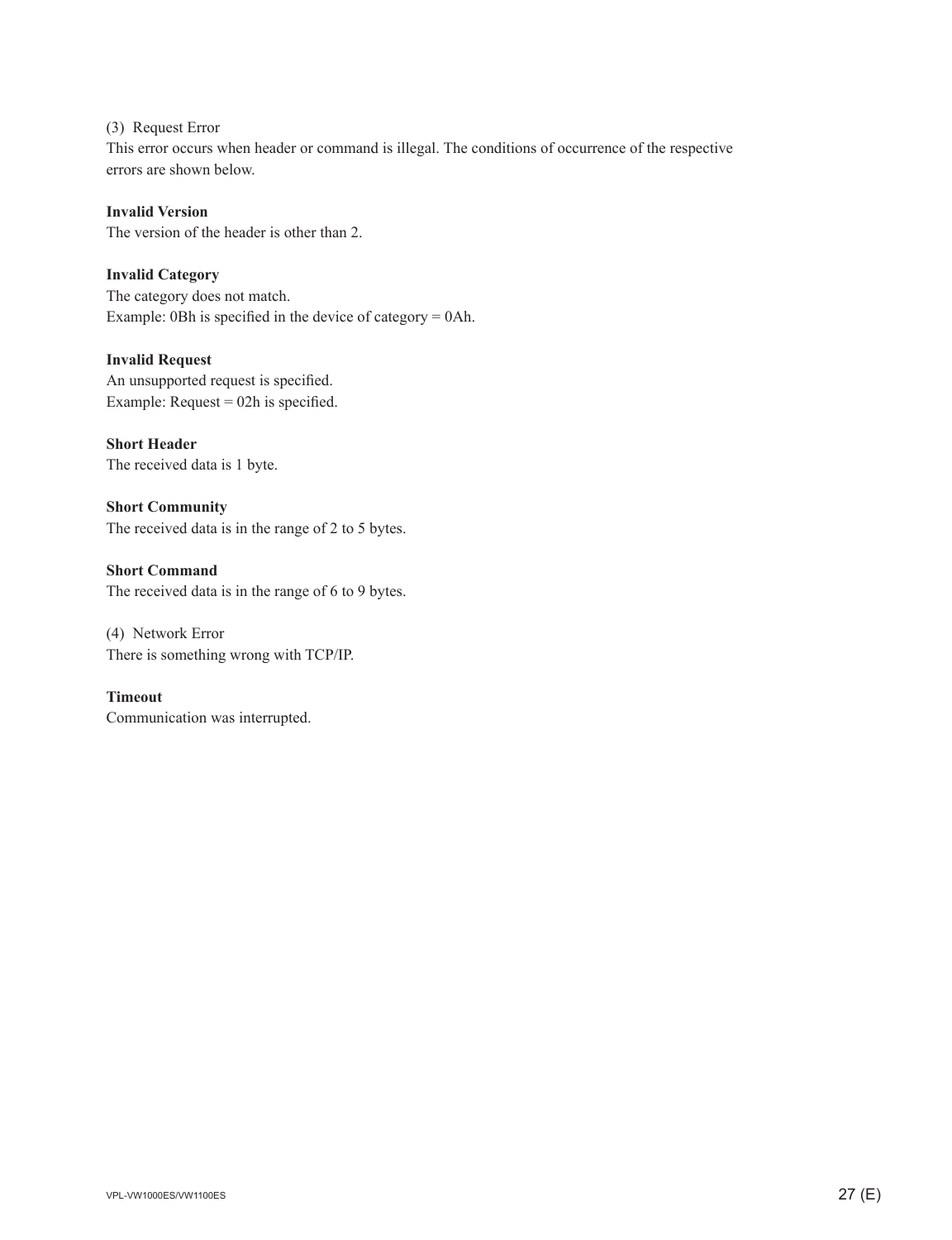(3) Request Error This error occurs when header or command is illegal. The conditions of occurrence of the respective errors are shown below.

#### **Invalid Version**

The version of the header is other than 2.

#### **Invalid Category**

The category does not match. Example: 0Bh is specified in the device of category  $= 0$ Ah.

#### **Invalid Request**

An unsupported request is specified. Example: Request =  $02h$  is specified.

#### **Short Header**

The received data is 1 byte.

**Short Community** The received data is in the range of 2 to 5 bytes.

**Short Command** The received data is in the range of 6 to 9 bytes.

(4) Network Error There is something wrong with TCP/IP.

#### **Timeout**

Communication was interrupted.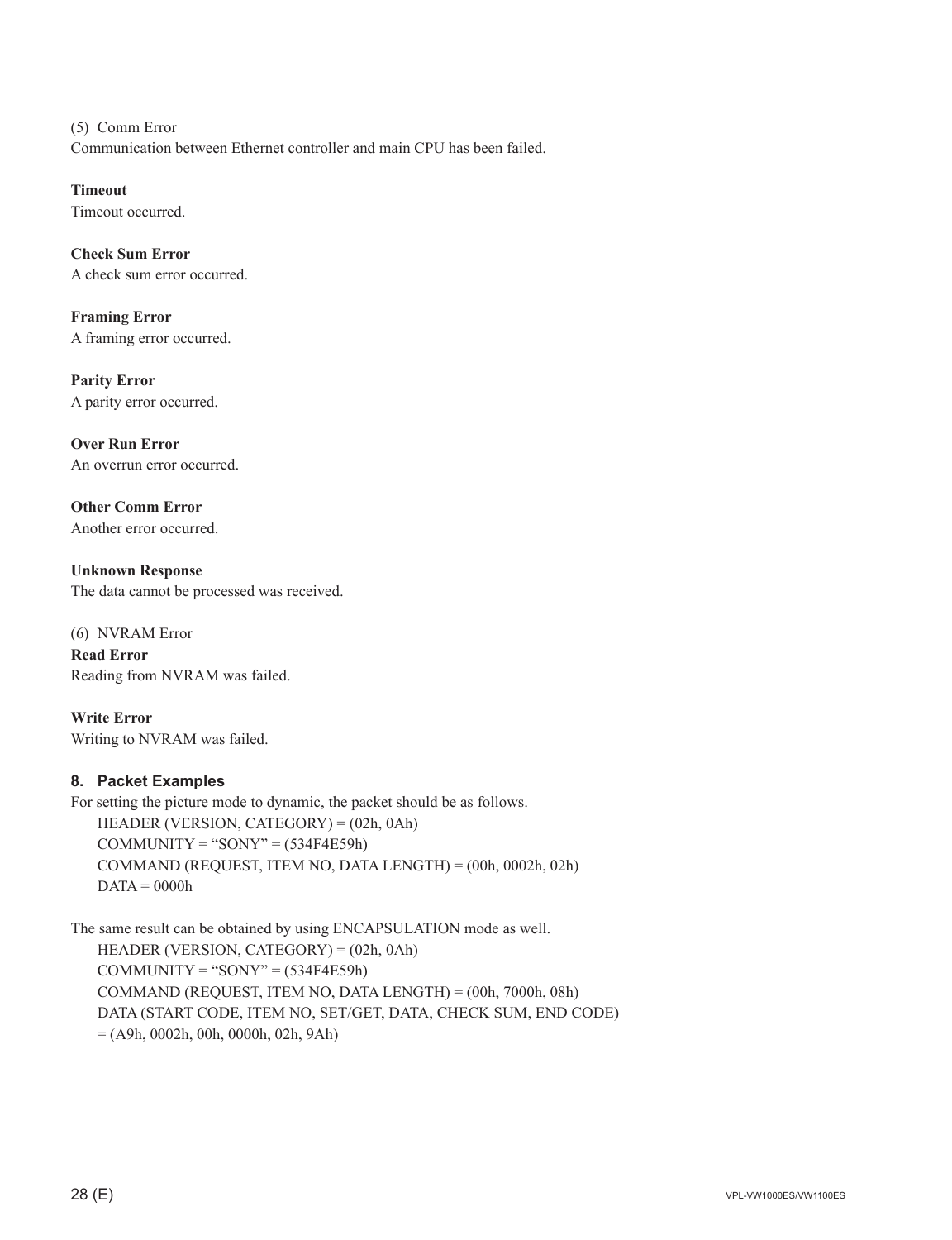(5) Comm Error Communication between Ethernet controller and main CPU has been failed.

**Timeout** Timeout occurred.

**Check Sum Error** A check sum error occurred.

**Framing Error** A framing error occurred.

**Parity Error** A parity error occurred.

**Over Run Error** An overrun error occurred.

**Other Comm Error** Another error occurred.

**Unknown Response** The data cannot be processed was received.

(6) NVRAM Error **Read Error** Reading from NVRAM was failed.

**Write Error** Writing to NVRAM was failed.

#### **8. Packet Examples**

For setting the picture mode to dynamic, the packet should be as follows. HEADER (VERSION, CATEGORY) = (02h, 0Ah)  $COMMUNITY = "SONY" = (534F4E59h)$  COMMAND (REQUEST, ITEM NO, DATA LENGTH) = (00h, 0002h, 02h)  $DATA = 0000h$ 

The same result can be obtained by using ENCAPSULATION mode as well. HEADER (VERSION, CATEGORY) = (02h, 0Ah)  $COMMUNITY = "SONY" = (534F4E59h)$  COMMAND (REQUEST, ITEM NO, DATA LENGTH) = (00h, 7000h, 08h) DATA (START CODE, ITEM NO, SET/GET, DATA, CHECK SUM, END CODE) = (A9h, 0002h, 00h, 0000h, 02h, 9Ah)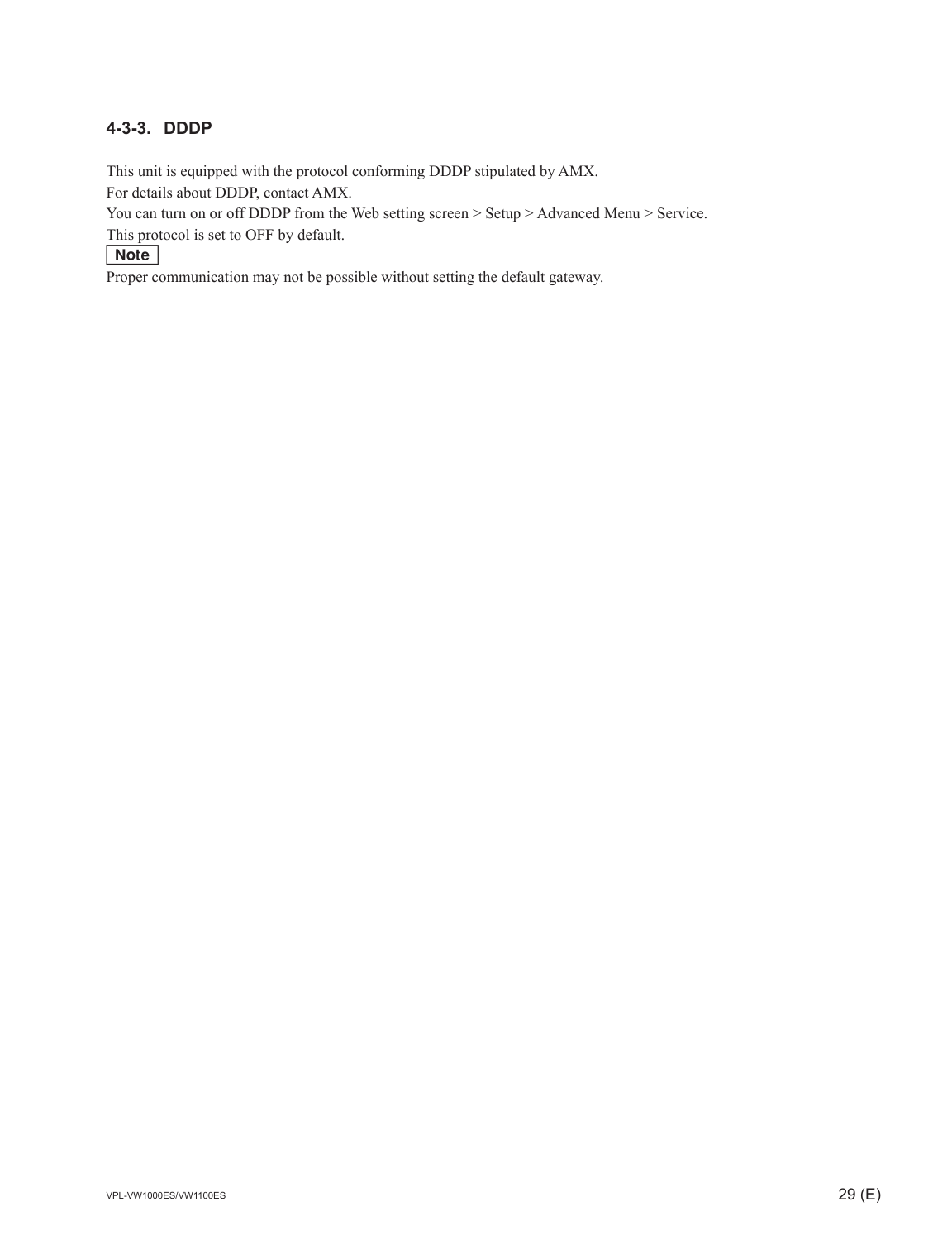#### **4-3-3. DDDP**

This unit is equipped with the protocol conforming DDDP stipulated by AMX.

For details about DDDP, contact AMX.

You can turn on or off DDDP from the Web setting screen > Setup > Advanced Menu > Service.

This protocol is set to OFF by default.

Note

Proper communication may not be possible without setting the default gateway.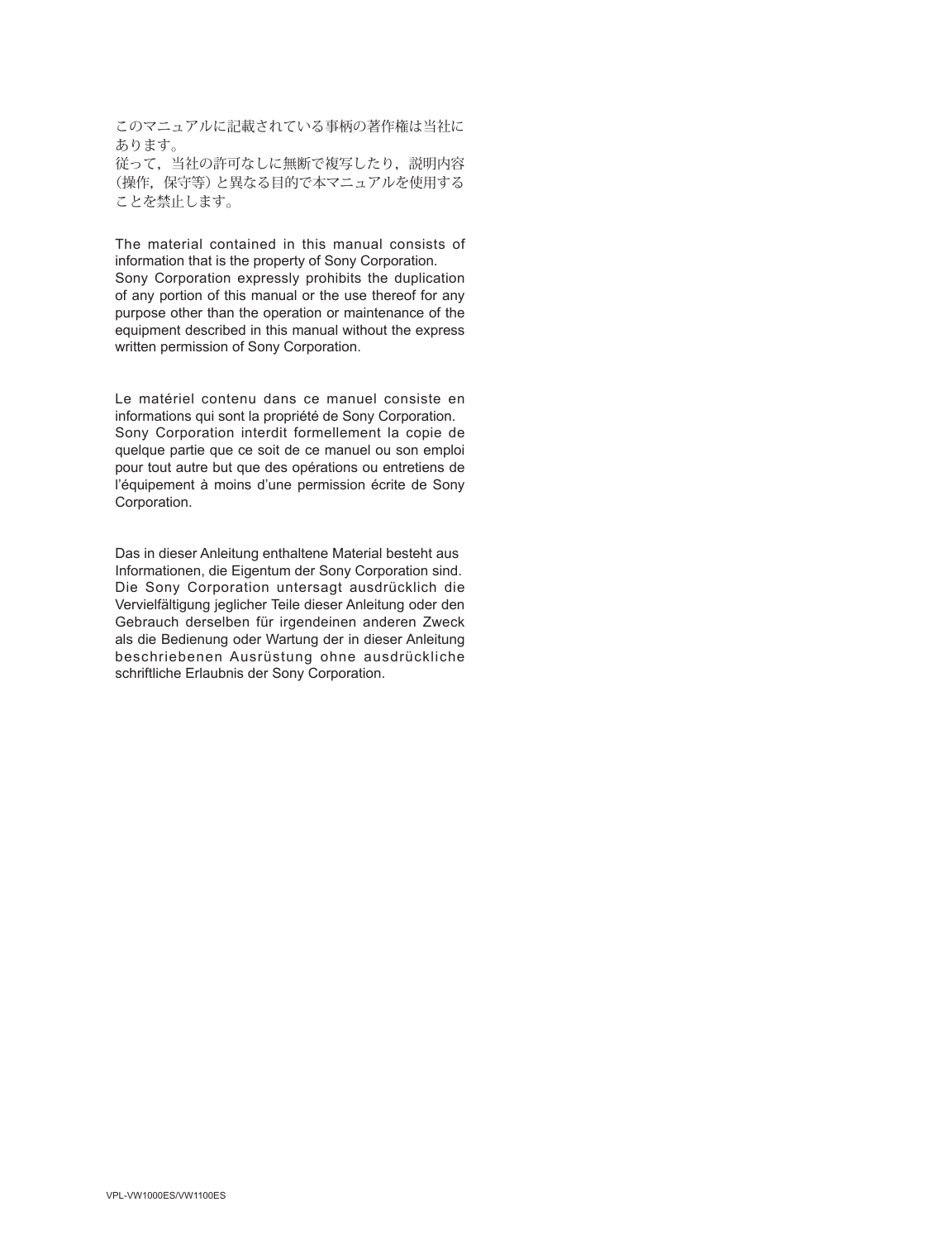このマニュアルに記載されている事柄の著作権は当社に あります。 従って,当社の許可なしに無断で複写したり,説明内容 (操作,保守等)と異なる目的で本マニュアルを使用する ことを禁止します。

The material contained in this manual consists of information that is the property of Sony Corporation.

Sony Corporation expressly prohibits the duplication of any portion of this manual or the use thereof for any purpose other than the operation or maintenance of the equipment described in this manual without the express written permission of Sony Corporation.

Le matériel contenu dans ce manuel consiste en informations qui sont la propriété de Sony Corporation. Sony Corporation interdit formellement la copie de quelque partie que ce soit de ce manuel ou son emploi pour tout autre but que des opérations ou entretiens de l'équipement à moins d'une permission écrite de Sony Corporation.

Das in dieser Anleitung enthaltene Material besteht aus Informationen, die Eigentum der Sony Corporation sind. Die Sony Corporation untersagt ausdrücklich die Vervielfältigung jeglicher Teile dieser Anleitung oder den Gebrauch derselben für irgendeinen anderen Zweck als die Bedienung oder Wartung der in dieser Anleitung beschriebenen Ausrüstung ohne ausdrückliche schriftliche Erlaubnis der Sony Corporation.